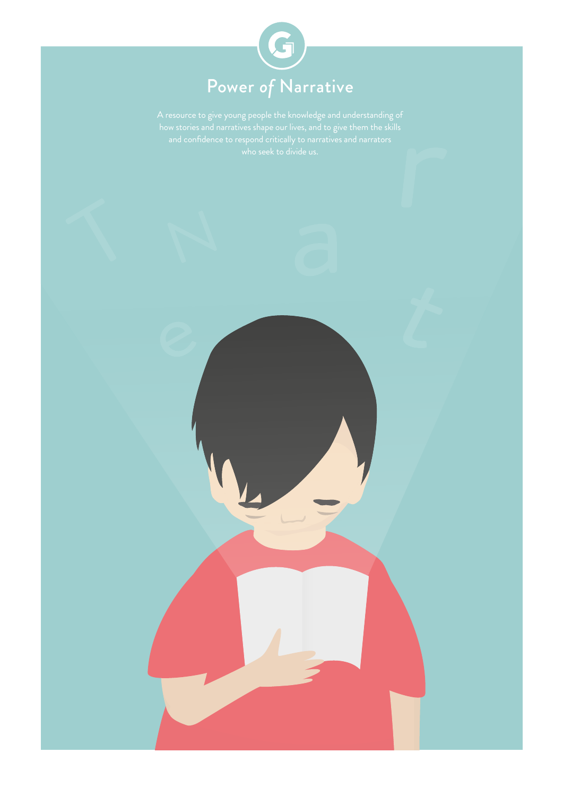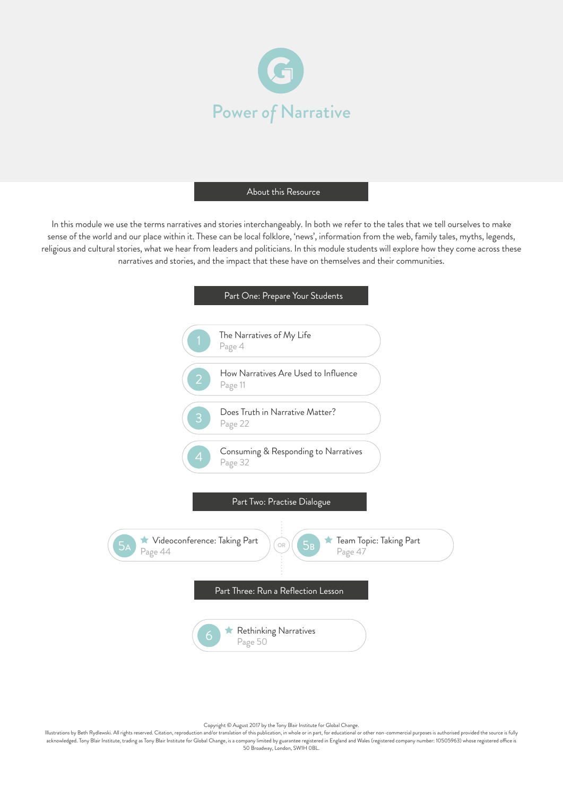

## About this Resource

In this module we use the terms narratives and stories interchangeably. In both we refer to the tales that we tell ourselves to make sense of the world and our place within it. These can be local folklore, 'news', information from the web, family tales, myths, legends, religious and cultural stories, what we hear from leaders and politicians. In this module students will explore how they come across these narratives and stories, and the impact that these have on themselves and their communities.



Copyright © August 2017 by the Tony Blair Institute for Global Change.

lllustrations by Beth Rydlewski. All rights reserved. Citation, reproduction and/or translation of this publication, in whole or in part, for educational or other non-commercial purposes is authorised provided the source i 50 Broadway, London, SW1H 0BL.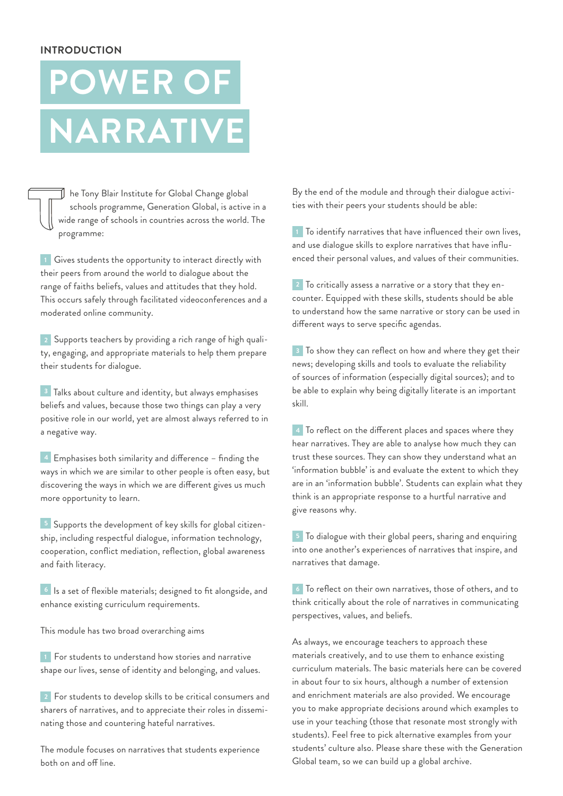## **INTRODUCTION**

# **POWER OF NARRATIVE**

he Tony Blair Institute for Global Change global schools programme, Generation Global, is active in a wide range of schools in countries across the world. The programme:

**<sup>1</sup>** Gives students the opportunity to interact directly with their peers from around the world to dialogue about the range of faiths beliefs, values and attitudes that they hold. This occurs safely through facilitated videoconferences and a moderated online community.

**<sup>2</sup>** Supports teachers by providing a rich range of high quality, engaging, and appropriate materials to help them prepare their students for dialogue.

**<sup>3</sup>** Talks about culture and identity, but always emphasises beliefs and values, because those two things can play a very positive role in our world, yet are almost always referred to in a negative way.

**<sup>4</sup>** Emphasises both similarity and difference – finding the ways in which we are similar to other people is often easy, but discovering the ways in which we are different gives us much more opportunity to learn.

**5** Supports the development of key skills for global citizenship, including respectful dialogue, information technology, cooperation, conflict mediation, reflection, global awareness and faith literacy.

**<sup>6</sup>** Is a set of flexible materials; designed to fit alongside, and enhance existing curriculum requirements.

This module has two broad overarching aims

**<sup>1</sup>** For students to understand how stories and narrative shape our lives, sense of identity and belonging, and values.

**2** For students to develop skills to be critical consumers and sharers of narratives, and to appreciate their roles in disseminating those and countering hateful narratives.

The module focuses on narratives that students experience both on and off line.

By the end of the module and through their dialogue activities with their peers your students should be able:

**<sup>1</sup>** To identify narratives that have influenced their own lives, and use dialogue skills to explore narratives that have influenced their personal values, and values of their communities.

**<sup>2</sup>** To critically assess a narrative or a story that they encounter. Equipped with these skills, students should be able to understand how the same narrative or story can be used in different ways to serve specific agendas.

**<sup>3</sup>** To show they can reflect on how and where they get their news; developing skills and tools to evaluate the reliability of sources of information (especially digital sources); and to be able to explain why being digitally literate is an important skill.

**<sup>4</sup>** To reflect on the different places and spaces where they hear narratives. They are able to analyse how much they can trust these sources. They can show they understand what an 'information bubble' is and evaluate the extent to which they are in an 'information bubble'. Students can explain what they think is an appropriate response to a hurtful narrative and give reasons why.

**<sup>5</sup>** To dialogue with their global peers, sharing and enquiring into one another's experiences of narratives that inspire, and narratives that damage.

**<sup>6</sup>** To reflect on their own narratives, those of others, and to think critically about the role of narratives in communicating perspectives, values, and beliefs.

As always, we encourage teachers to approach these materials creatively, and to use them to enhance existing curriculum materials. The basic materials here can be covered in about four to six hours, although a number of extension and enrichment materials are also provided. We encourage you to make appropriate decisions around which examples to use in your teaching (those that resonate most strongly with students). Feel free to pick alternative examples from your students' culture also. Please share these with the Generation Global team, so we can build up a global archive.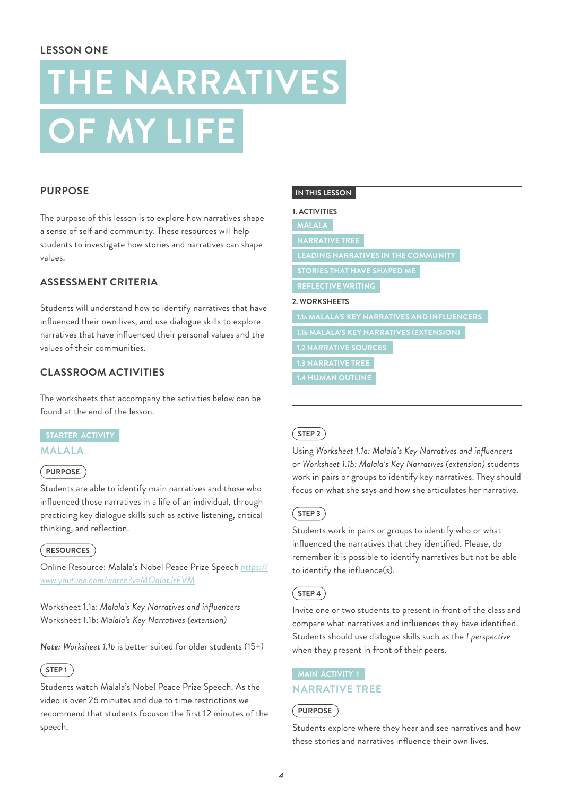## **LESSON ONE**

# **THE NARRATIVES OF MY LIFE**

## **PURPOSE**

The purpose of this lesson is to explore how narratives shape a sense of self and community. These resources will help students to investigate how stories and narratives can shape values.

## **ASSESSMENT CRITERIA**

Students will understand how to identify narratives that have influenced their own lives, and use dialogue skills to explore narratives that have influenced their personal values and the values of their communities.

## **CLASSROOM ACTIVITIES**

The worksheets that accompany the activities below can be found at the end of the lesson.

## **STARTER ACTIVITY**

## **MALALA**

## **PURPOSE**

Students are able to identify main narratives and those who influenced those narratives in a life of an individual, through practicing key dialogue skills such as active listening, critical thinking, and reflection.

## **RESOURCES**

Online Resource: Malala's Nobel Peace Prize Speech *[https://](https://www.youtube.com/watch?v=MOqIotJrFVM) [www.youtube.com/watch?v=MOqIotJrFVM](https://www.youtube.com/watch?v=MOqIotJrFVM)*

Worksheet 1.1a: *Malala's Key Narratives and influencers* Worksheet 1.1b: *Malala's Key Narratives (extension)*

*Note: Worksheet 1.1b* is better suited for older students (15+*)*

## $STEP1$

Students watch Malala's Nobel Peace Prize Speech. As the video is over 26 minutes and due to time restrictions we recommend that students focuson the first 12 minutes of the speech.

## **IN THIS LESSON**

## **1. ACTIVITIES MALALA**

**STORIES THAT HAVE SHAPED ME**

**REFLECTIVE WRITING**

## **2. WORKSHEETS**

**1.1a MALALA'S KEY NARRATIVES AND INFLUENCERS 1.2 NARRATIVE SOURCES**

**1.4 HUMAN OUTLINE**

## **STEP 2**

Using *Worksheet 1.1a: Malala's Key Narratives and influencers* or *Worksheet 1.1b: Malala's Key Narratives (extension)* students work in pairs or groups to identify key narratives. They should focus on what she says and how she articulates her narrative.

## **STEP 3**

Students work in pairs or groups to identify who or what influenced the narratives that they identified. Please, do remember it is possible to identify narratives but not be able to identify the influence(s).

## $($  STEP 4  $)$

Invite one or two students to present in front of the class and compare what narratives and influences they have identified. Students should use dialogue skills such as the *I perspective* when they present in front of their peers.

## **NARRATIVE TREE**

## **PURPOSE**

Students explore where they hear and see narratives and how these stories and narratives influence their own lives.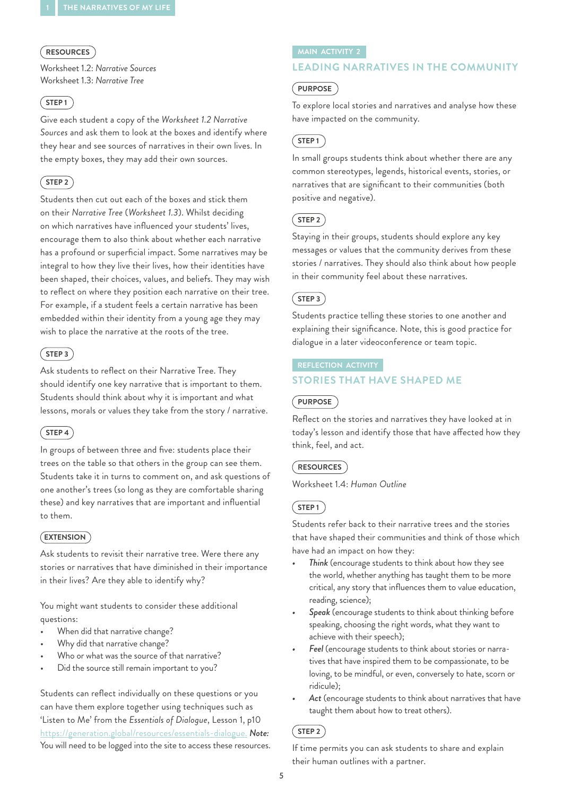## **RESOURCES**

Worksheet 1.2: *Narrative Sources* Worksheet 1.3: *Narrative Tree*

## $($  STEP 1  $)$

Give each student a copy of the *Worksheet 1.2 Narrative Sources* and ask them to look at the boxes and identify where they hear and see sources of narratives in their own lives. In the empty boxes, they may add their own sources.

## $(STEP 2)$

Students then cut out each of the boxes and stick them on their *Narrative Tree* (*Worksheet 1.3*). Whilst deciding on which narratives have influenced your students' lives, encourage them to also think about whether each narrative has a profound or superficial impact. Some narratives may be integral to how they live their lives, how their identities have been shaped, their choices, values, and beliefs. They may wish to reflect on where they position each narrative on their tree. For example, if a student feels a certain narrative has been embedded within their identity from a young age they may wish to place the narrative at the roots of the tree.

## $(STEP3)$

Ask students to reflect on their Narrative Tree. They should identify one key narrative that is important to them. Students should think about why it is important and what lessons, morals or values they take from the story / narrative.

## $(STEP 4)$

In groups of between three and five: students place their trees on the table so that others in the group can see them. Students take it in turns to comment on, and ask questions of one another's trees (so long as they are comfortable sharing these) and key narratives that are important and influential to them.

## **EXTENSION**

Ask students to revisit their narrative tree. Were there any stories or narratives that have diminished in their importance in their lives? Are they able to identify why?

You might want students to consider these additional questions:

- When did that narrative change?
- Why did that narrative change?
- Who or what was the source of that narrative?
- Did the source still remain important to you?

Students can reflect individually on these questions or you can have them explore together using techniques such as 'Listen to Me' from the *Essentials of Dialogue*, Lesson 1, p10 <https://generation.global/resources/essentials-dialogue>. *Note:* You will need to be logged into the site to access these resources.

## **LEADING NARRATIVES IN THE COMMUNITY**

## **PURPOSE**

To explore local stories and narratives and analyse how these have impacted on the community.

## $\sqrt{\text{STEP 1}}$

In small groups students think about whether there are any common stereotypes, legends, historical events, stories, or narratives that are significant to their communities (both positive and negative).

## **STEP 2**

Staying in their groups, students should explore any key messages or values that the community derives from these stories / narratives. They should also think about how people in their community feel about these narratives.

## $(STEP3)$

Students practice telling these stories to one another and explaining their significance. Note, this is good practice for dialogue in a later videoconference or team topic.

# **STORIES THAT HAVE SHAPED ME**

## **PURPOSE**

Reflect on the stories and narratives they have looked at in today's lesson and identify those that have affected how they think, feel, and act.

## **RESOURCES**

Worksheet 1.4: *Human Outline*

## **STEP 1**

Students refer back to their narrative trees and the stories that have shaped their communities and think of those which have had an impact on how they:

- *• Think* (encourage students to think about how they see the world, whether anything has taught them to be more critical, any story that influences them to value education, reading, science);
- *• Speak* (encourage students to think about thinking before speaking, choosing the right words, what they want to achieve with their speech);
- *• Feel* (encourage students to think about stories or narratives that have inspired them to be compassionate, to be loving, to be mindful, or even, conversely to hate, scorn or ridicule);
- *• Act* (encourage students to think about narratives that have taught them about how to treat others).

## $($  STEP 2  $)$

If time permits you can ask students to share and explain their human outlines with a partner.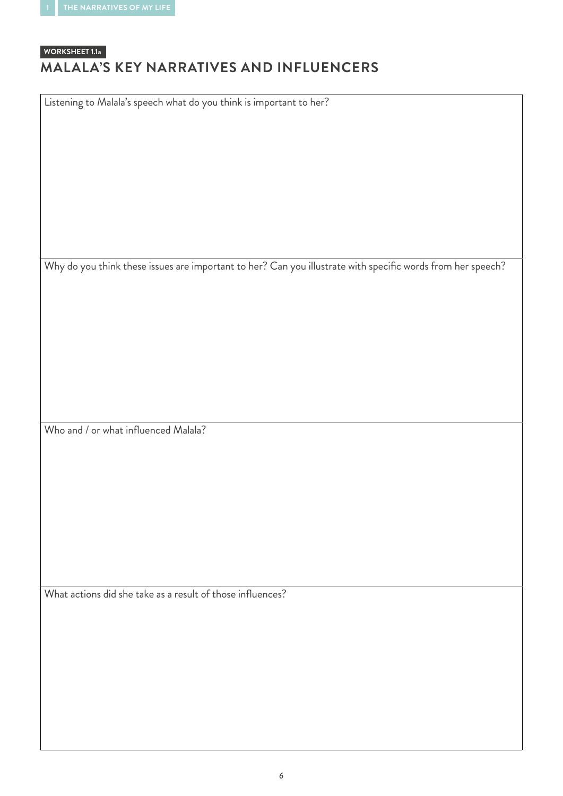## **WORKSHEET 1.1a MALALA'S KEY NARRATIVES AND INFLUENCERS**

Listening to Malala's speech what do you think is important to her?

Why do you think these issues are important to her? Can you illustrate with specific words from her speech?

Who and / or what influenced Malala?

What actions did she take as a result of those influences?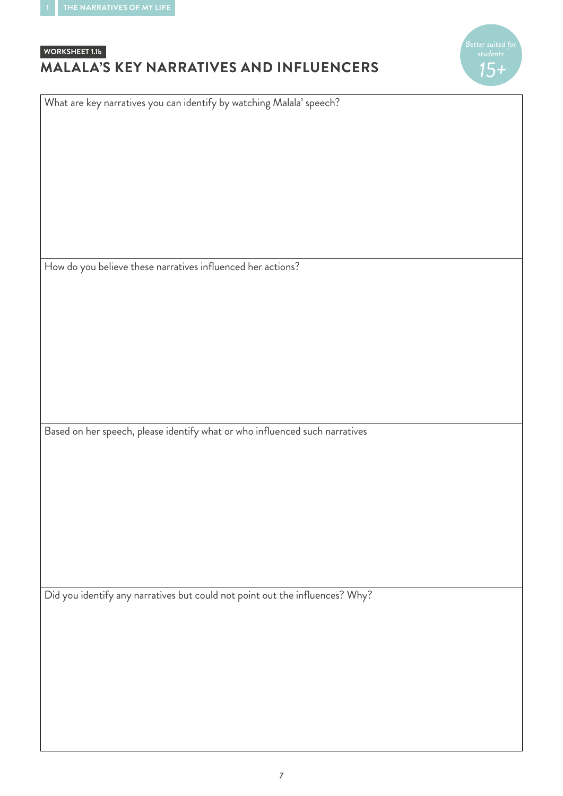## **WORKSHEET 1.1a 1.1bMALALA'S KEY NARRATIVES AND INFLUENCERS**

 $5+$ 

What are key narratives you can identify by watching Malala' speech?

How do you believe these narratives influenced her actions?

Based on her speech, please identify what or who influenced such narratives

Did you identify any narratives but could not point out the influences? Why?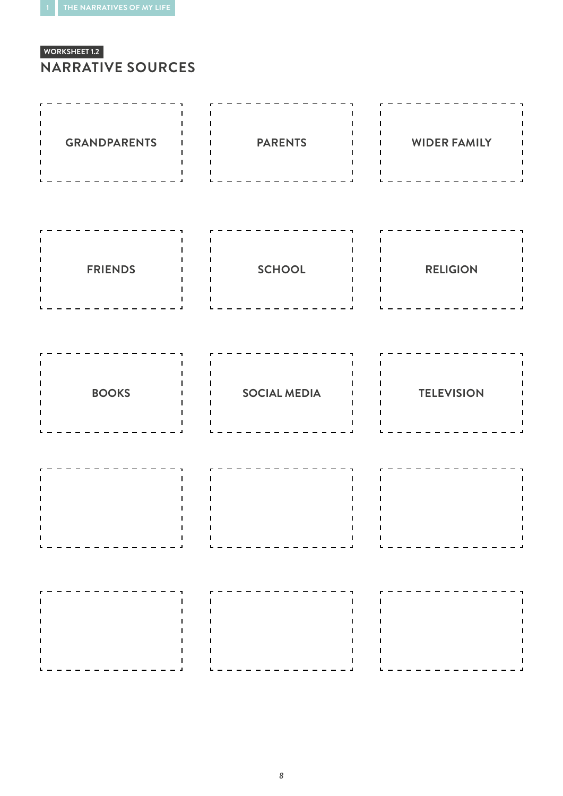## **WORKSHEET 1.2**

## **NARRATIVE SOURCES**

| <b>GRANDPARENTS</b>          | <b>PARENTS</b>      | <b>WIDER FAMILY</b> |
|------------------------------|---------------------|---------------------|
|                              |                     |                     |
| <b>FRIENDS</b>               | <b>SCHOOL</b>       | <b>RELIGION</b>     |
|                              |                     |                     |
| <b>BOOKS</b>                 | <b>SOCIAL MEDIA</b> | <b>TELEVISION</b>   |
|                              |                     |                     |
|                              |                     |                     |
|                              |                     |                     |
| $\mathbf{I}$<br>$\mathbf{I}$ | $\mathbf{I}$<br>L   |                     |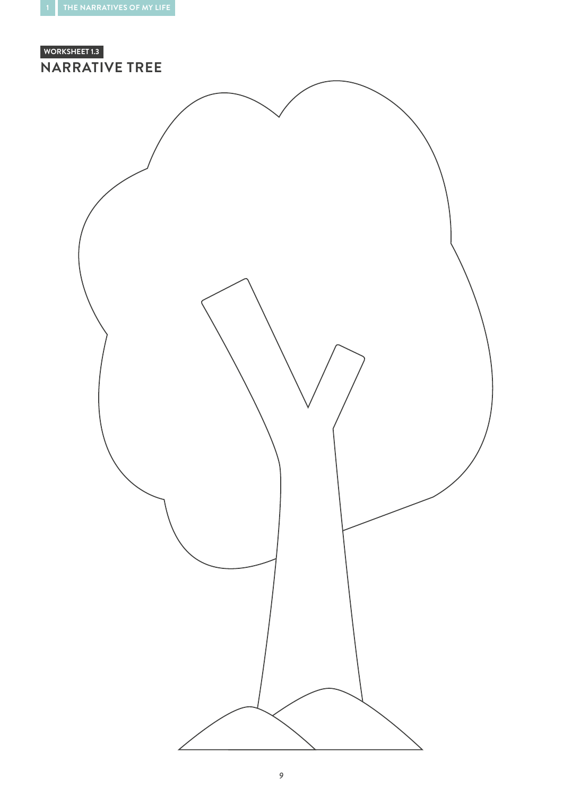## **WORKSHEET 1.3 NARRATIVE TREE**

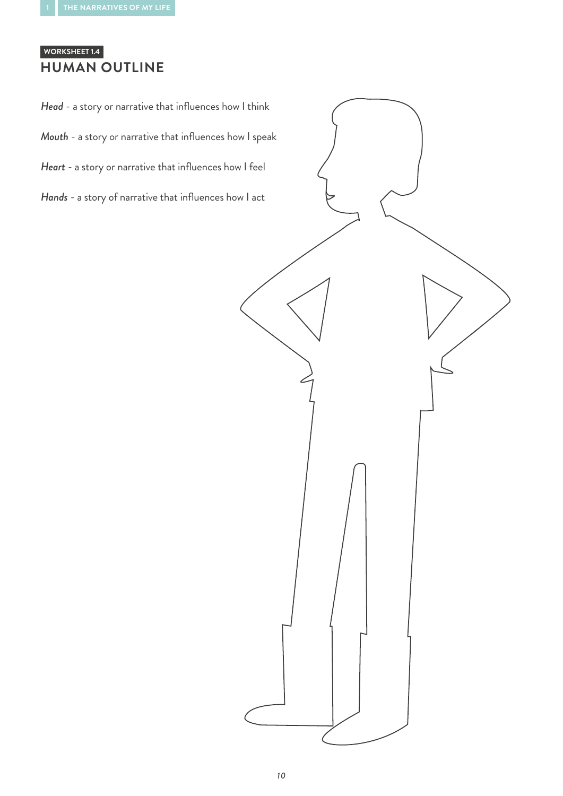## **WORKSHEET 1.4 HUMAN OUTLINE**

*Head* - a story or narrative that influences how I think *Mouth* - a story or narrative that influences how I speak *Heart* - a story or narrative that influences how I feel *Hands* - a story of narrative that influences how I act

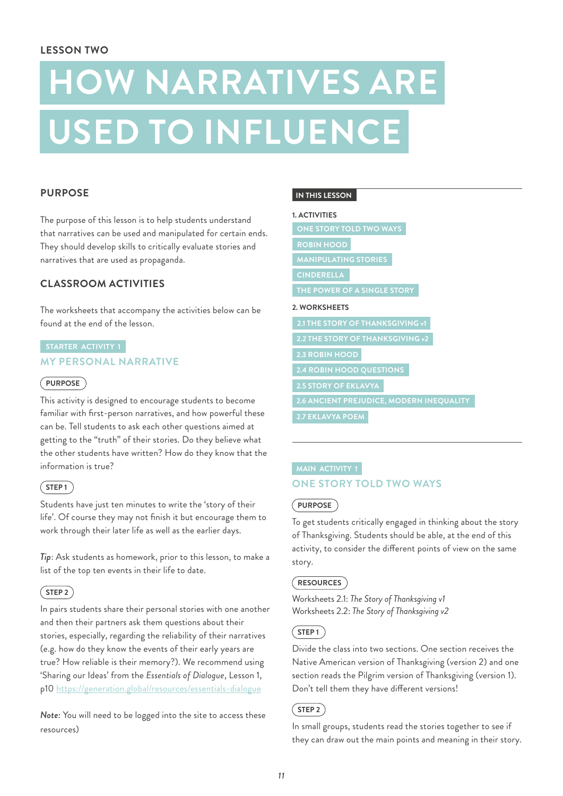## **LESSON TWO**

# **HOW NARRATIVES ARE USED TO INFLUENCE**

## **PURPOSE**

The purpose of this lesson is to help students understand that narratives can be used and manipulated for certain ends. They should develop skills to critically evaluate stories and narratives that are used as propaganda.

## **CLASSROOM ACTIVITIES**

The worksheets that accompany the activities below can be found at the end of the lesson.

# **MY PERSONAL NARRATIVE**

## **PURPOSE**

This activity is designed to encourage students to become familiar with first-person narratives, and how powerful these can be. Tell students to ask each other questions aimed at getting to the "truth" of their stories. Do they believe what the other students have written? How do they know that the information is true?

## **STEP 1**

Students have just ten minutes to write the 'story of their life'. Of course they may not finish it but encourage them to work through their later life as well as the earlier days.

*Tip*: Ask students as homework, prior to this lesson, to make a list of the top ten events in their life to date.

## $(STEP2)$

In pairs students share their personal stories with one another and then their partners ask them questions about their stories, especially, regarding the reliability of their narratives (e.g. how do they know the events of their early years are true? How reliable is their memory?). We recommend using '[Sharing our Ideas'](http://Sharing our Ideas’) from the *Essentials of Dialogue*, Lesson 1, p10 <https://generation.global/resources/essentials-dialogue>

*Note:* You will need to be logged into the site to access these resources)

## **IN THIS LESSON**

### **1. ACTIVITIES**

| <b>ONE STORY TOLD TWO WAYS</b>           |
|------------------------------------------|
| <b>ROBIN HOOD</b>                        |
| <b>MANIPULATING STORIES</b>              |
| <b>CINDERELLA</b>                        |
| THE POWER OF A SINGLE STORY              |
| 2. WORKSHEETS                            |
| 2.1 THE STORY OF THANKSGIVING v1         |
| 2.2 THE STORY OF THANKSGIVING v2         |
| <b>2.3 ROBIN HOOD</b>                    |
| <b>2.4 ROBIN HOOD QUESTIONS</b>          |
| <b>2.5 STORY OF EKLAVYA</b>              |
| 2.6 ANCIENT PREJUDICE, MODERN INEQUALITY |

**2.7 EKLAVYA POEM**

# **ONE STORY TOLD TWO WAYS**

## **PURPOSE**

To get students critically engaged in thinking about the story of Thanksgiving. Students should be able, at the end of this activity, to consider the different points of view on the same story.

## **RESOURCES**

Worksheets 2.1: *The Story of Thanksgiving v1* Worksheets 2.2: *The Story of Thanksgiving v2*

## $($  STEP 1  $)$

Divide the class into two sections. One section receives the Native American version of Thanksgiving (version 2) and one section reads the Pilgrim version of Thanksgiving (version 1). Don't tell them they have different versions!

## **STEP 2**

In small groups, students read the stories together to see if they can draw out the main points and meaning in their story.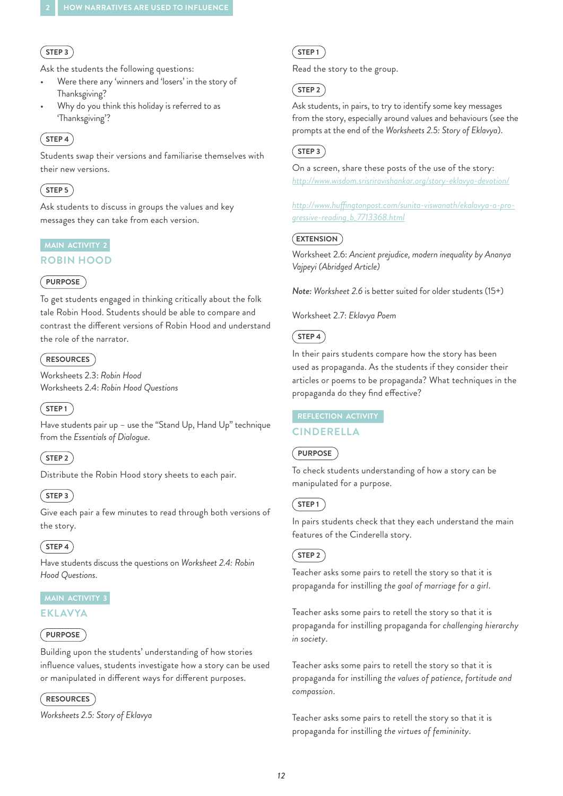## **STEP 3**

Ask the students the following questions:

- Were there any 'winners and 'losers' in the story of Thanksgiving?
- Why do you think this holiday is referred to as 'Thanksgiving'?

## **STEP 4**

Students swap their versions and familiarise themselves with their new versions.

## **STEP 5**

Ask students to discuss in groups the values and key messages they can take from each version.

## **ROBIN HOOD**

## **PURPOSE**

To get students engaged in thinking critically about the folk tale Robin Hood. Students should be able to compare and contrast the different versions of Robin Hood and understand the role of the narrator.

## **RESOURCES**

Worksheets 2.3: *Robin Hood* Worksheets 2.4: *Robin Hood Questions*

## **STEP 1**

Have students pair up – use the "Stand Up, Hand Up" technique from the *Essentials of Dialogue*.

## **STEP 2**

Distribute the Robin Hood story sheets to each pair.

## **STEP 3**

Give each pair a few minutes to read through both versions of the story.

## $(STEP 4)$

Have students discuss the questions on *Worksheet 2.4: Robin Hood Questions*.

## **EKLAVYA**

## **PURPOSE**

Building upon the students' understanding of how stories influence values, students investigate how a story can be used or manipulated in different ways for different purposes.

## **RESOURCES**

*Worksheets 2.5: Story of Eklavya*

## **STEP 1**

Read the story to the group.

## **STEP 2**

Ask students, in pairs, to try to identify some key messages from the story, especially around values and behaviours (see the prompts at the end of the *Worksheets 2.5: Story of Eklavya*).

## $(STEP3)$

On a screen, share these posts of the use of the story: *[http://www.wisdom.srisriravishankar.org/story-eklavya-devotion/](http://www.wisdom.srisriravishankar.org/story-eklavya-devotion/ http://www.huffingtonpost.com/sunita-viswanath/ekalavya-a-progressive-reading_b_7713368.html)*

*[http://www.huffingtonpost.com/sunita-viswanath/ekalavya-a-pro](http://www.wisdom.srisriravishankar.org/story-eklavya-devotion/ http://www.huffingtonpost.com/sunita-viswanath/ekalavya-a-progressive-reading_b_7713368.html)[gressive-reading\\_b\\_7713368.html](http://www.wisdom.srisriravishankar.org/story-eklavya-devotion/ http://www.huffingtonpost.com/sunita-viswanath/ekalavya-a-progressive-reading_b_7713368.html)*

## **EXTENSION**

Worksheet 2.6: *Ancient prejudice, modern inequality by Ananya Vajpeyi (Abridged Article)*

*Note: Worksheet 2.6* is better suited for older students (15+)

Worksheet 2.7: *Eklavya Poem*

## $($  STEP 4  $)$

In their pairs students compare how the story has been used as propaganda. As the students if they consider their articles or poems to be propaganda? What techniques in the propaganda do they find effective?

## **CINDERELLA**

## **PURPOSE**

To check students understanding of how a story can be manipulated for a purpose.

## **STEP 1**

In pairs students check that they each understand the main features of the Cinderella story.

## $($  STEP 2  $)$

Teacher asks some pairs to retell the story so that it is propaganda for instilling *the goal of marriage for a girl*.

Teacher asks some pairs to retell the story so that it is propaganda for instilling propaganda for *challenging hierarchy in society*.

Teacher asks some pairs to retell the story so that it is propaganda for instilling *the values of patience, fortitude and compassion*.

Teacher asks some pairs to retell the story so that it is propaganda for instilling *the virtues of femininity*.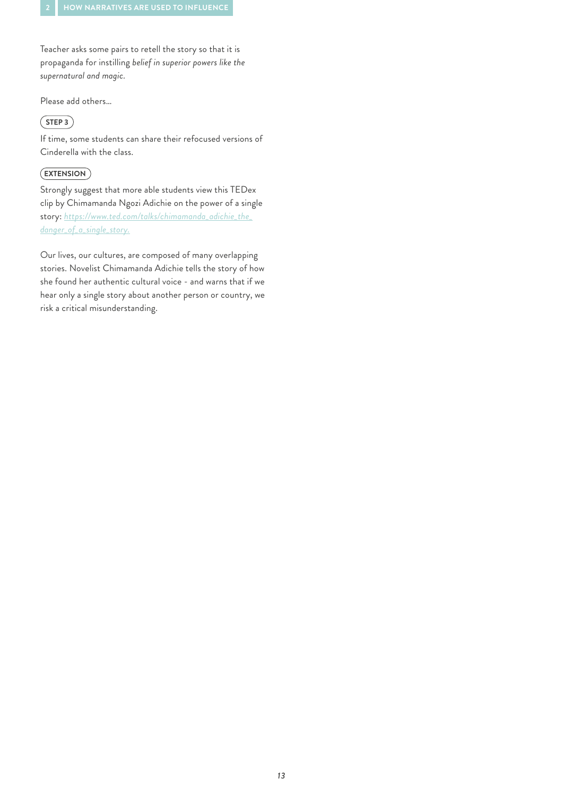Teacher asks some pairs to retell the story so that it is propaganda for instilling *belief in superior powers like the supernatural and magic.*

Please add others…

## $STEP3$

If time, some students can share their refocused versions of Cinderella with the class.

## **EXTENSION**

Strongly suggest that more able students view this TEDex clip by Chimamanda Ngozi Adichie on the power of a single story: *[https://www.ted.com/talks/chimamanda\\_adichie\\_the\\_](https://www.ted.com/talks/chimamanda_adichie_the_danger_of_a_single_story) [danger\\_of\\_a\\_single\\_story](https://www.ted.com/talks/chimamanda_adichie_the_danger_of_a_single_story).*

Our lives, our cultures, are composed of many overlapping stories. Novelist Chimamanda Adichie tells the story of how she found her authentic cultural voice - and warns that if we hear only a single story about another person or country, we risk a critical misunderstanding.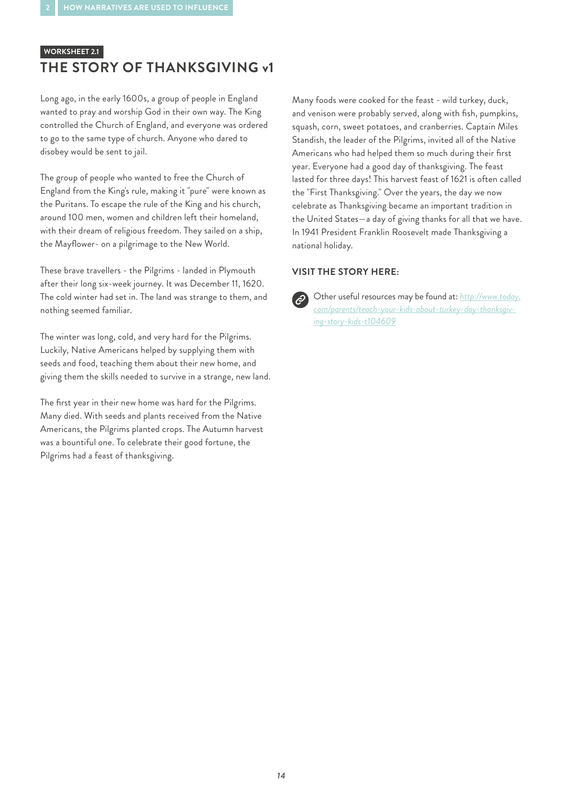## **WORKSHEET 2.1**

## **THE STORY OF THANKSGIVING v1**

Long ago, in the early 1600s, a group of people in England wanted to pray and worship God in their own way. The King controlled the Church of England, and everyone was ordered to go to the same type of church. Anyone who dared to disobey would be sent to jail.

The group of people who wanted to free the Church of England from the King's rule, making it "pure" were known as the Puritans. To escape the rule of the King and his church, around 100 men, women and children left their homeland, with their dream of religious freedom. They sailed on a ship, the Mayflower- on a pilgrimage to the New World.

These brave travellers - the Pilgrims - landed in Plymouth after their long six-week journey. It was December 11, 1620. The cold winter had set in. The land was strange to them, and nothing seemed familiar.

The winter was long, cold, and very hard for the Pilgrims. Luckily, Native Americans helped by supplying them with seeds and food, teaching them about their new home, and giving them the skills needed to survive in a strange, new land.

The first year in their new home was hard for the Pilgrims. Many died. With seeds and plants received from the Native Americans, the Pilgrims planted crops. The Autumn harvest was a bountiful one. To celebrate their good fortune, the Pilgrims had a feast of thanksgiving.

Many foods were cooked for the feast - wild turkey, duck, and venison were probably served, along with fish, pumpkins, squash, corn, sweet potatoes, and cranberries. Captain Miles Standish, the leader of the Pilgrims, invited all of the Native Americans who had helped them so much during their first year. Everyone had a good day of thanksgiving. The feast lasted for three days! This harvest feast of 1621 is often called the "First Thanksgiving." Over the years, the day we now celebrate as Thanksgiving became an important tradition in the United States—a day of giving thanks for all that we have. In 1941 President Franklin Roosevelt made Thanksgiving a national holiday.

## **VISIT THE STORY HERE:**



Other useful resources may be found at: *[http://www.today.](http://www.today.com/parents/teach-your-kids-about-turkey-day-thanksgiving-story-kids-t104609) [com/parents/teach-your-kids-about-turkey-day-thanksgiv](http://www.today.com/parents/teach-your-kids-about-turkey-day-thanksgiving-story-kids-t104609)[ing-story-kids-t104609](http://www.today.com/parents/teach-your-kids-about-turkey-day-thanksgiving-story-kids-t104609)*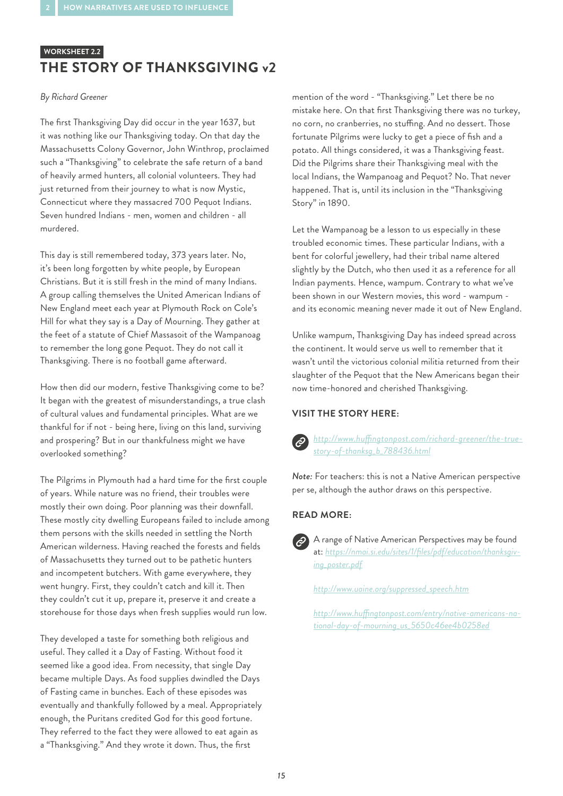## **WORKSHEET 2.2 THE STORY OF THANKSGIVING THANKSGIVING v2**

## *By Richard Greener*

The first Thanksgiving Day did occur in the year 1637, but it was nothing like our Thanksgiving today. On that day the Massachusetts Colony Governor, John Winthrop, proclaimed such a "Thanksgiving" to celebrate the safe return of a band of heavily armed hunters, all colonial volunteers. They had just returned from their journey to what is now Mystic, Connecticut where they massacred 700 Pequot Indians. Seven hundred Indians - men, women and children - all murdered.

This day is still remembered today, 373 years later. No, it's been long forgotten by white people, by European Christians. But it is still fresh in the mind of many Indians. A group calling themselves the United American Indians of New England meet each year at Plymouth Rock on Cole's Hill for what they say is a Day of Mourning. They gather at the feet of a statute of Chief Massasoit of the Wampanoag to remember the long gone Pequot. They do not call it Thanksgiving. There is no football game afterward.

How then did our modern, festive Thanksgiving come to be? It began with the greatest of misunderstandings, a true clash of cultural values and fundamental principles. What are we thankful for if not - being here, living on this land, surviving and prospering? But in our thankfulness might we have overlooked something?

The Pilgrims in Plymouth had a hard time for the first couple of years. While nature was no friend, their troubles were mostly their own doing. Poor planning was their downfall. These mostly city dwelling Europeans failed to include among them persons with the skills needed in settling the North American wilderness. Having reached the forests and fields of Massachusetts they turned out to be pathetic hunters and incompetent butchers. With game everywhere, they went hungry. First, they couldn't catch and kill it. Then they couldn't cut it up, prepare it, preserve it and create a storehouse for those days when fresh supplies would run low.

They developed a taste for something both religious and useful. They called it a Day of Fasting. Without food it seemed like a good idea. From necessity, that single Day became multiple Days. As food supplies dwindled the Days of Fasting came in bunches. Each of these episodes was eventually and thankfully followed by a meal. Appropriately enough, the Puritans credited God for this good fortune. They referred to the fact they were allowed to eat again as a "Thanksgiving." And they wrote it down. Thus, the first

mention of the word - "Thanksgiving." Let there be no mistake here. On that first Thanksgiving there was no turkey, no corn, no cranberries, no stuffing. And no dessert. Those fortunate Pilgrims were lucky to get a piece of fish and a potato. All things considered, it was a Thanksgiving feast. Did the Pilgrims share their Thanksgiving meal with the local Indians, the Wampanoag and Pequot? No. That never happened. That is, until its inclusion in the "Thanksgiving Story" in 1890.

Let the Wampanoag be a lesson to us especially in these troubled economic times. These particular Indians, with a bent for colorful jewellery, had their tribal name altered slightly by the Dutch, who then used it as a reference for all Indian payments. Hence, wampum. Contrary to what we've been shown in our Western movies, this word - wampum and its economic meaning never made it out of New England.

Unlike wampum, Thanksgiving Day has indeed spread across the continent. It would serve us well to remember that it wasn't until the victorious colonial militia returned from their slaughter of the Pequot that the New Americans began their now time-honored and cherished Thanksgiving.

## **VISIT THE STORY HERE:**



*[http://www.huffingtonpost.com/richard-greener/the-true](http://www.huffingtonpost.com/richard-greener/the-true-story-of-thanksg_b_788436.html)[story-of-thanksg\\_b\\_788436.html](http://www.huffingtonpost.com/richard-greener/the-true-story-of-thanksg_b_788436.html)*

*Note:* For teachers: this is not a Native American perspective per se, although the author draws on this perspective.

### **READ MORE:**

A range of Native American Perspectives may be found at: *https://nmai.si.edu/sites/1/files/pdf/education/thanksgiving\_poster.pdf*

*http://www.uaine.org/suppressed\_speech.htm*

*http://www.huffingtonpost.com/entry/native-americans-national-day-of-mourning\_us\_5650c46ee4b0258ed*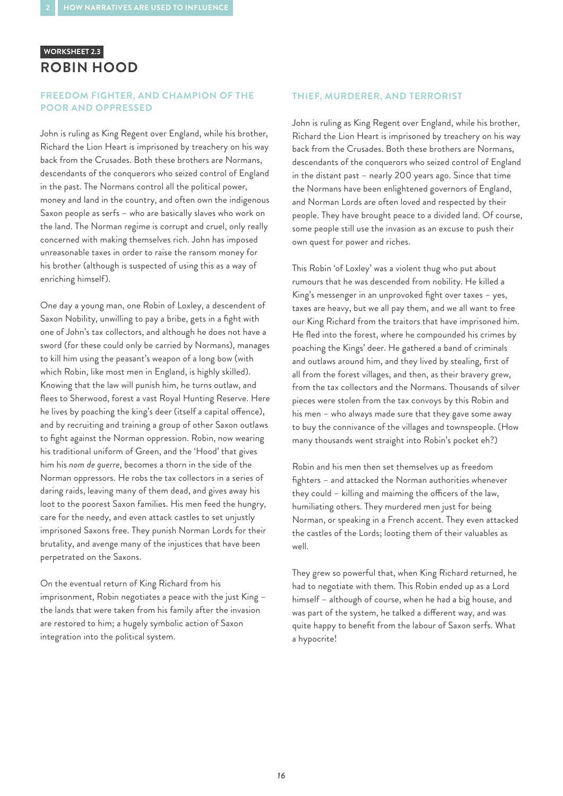## **WORKSHEET 2.3 ROBIN HOOD**

## **FREEDOM FIGHTER, AND CHAMPION OF THE POOR AND OPPRESSED**

John is ruling as King Regent over England, while his brother, Richard the Lion Heart is imprisoned by treachery on his way back from the Crusades. Both these brothers are Normans, descendants of the conquerors who seized control of England in the past. The Normans control all the political power, money and land in the country, and often own the indigenous Saxon people as serfs – who are basically slaves who work on the land. The Norman regime is corrupt and cruel, only really concerned with making themselves rich. John has imposed unreasonable taxes in order to raise the ransom money for his brother (although is suspected of using this as a way of enriching himself).

One day a young man, one Robin of Loxley, a descendent of Saxon Nobility, unwilling to pay a bribe, gets in a fight with one of John's tax collectors, and although he does not have a sword (for these could only be carried by Normans), manages to kill him using the peasant's weapon of a long bow (with which Robin, like most men in England, is highly skilled). Knowing that the law will punish him, he turns outlaw, and flees to Sherwood, forest a vast Royal Hunting Reserve. Here he lives by poaching the king's deer (itself a capital offence), and by recruiting and training a group of other Saxon outlaws to fight against the Norman oppression. Robin, now wearing his traditional uniform of Green, and the 'Hood' that gives him his *nom de guerre*, becomes a thorn in the side of the Norman oppressors. He robs the tax collectors in a series of daring raids, leaving many of them dead, and gives away his loot to the poorest Saxon families. His men feed the hungry, care for the needy, and even attack castles to set unjustly imprisoned Saxons free. They punish Norman Lords for their brutality, and avenge many of the injustices that have been perpetrated on the Saxons.

On the eventual return of King Richard from his imprisonment, Robin negotiates a peace with the just King – the lands that were taken from his family after the invasion are restored to him; a hugely symbolic action of Saxon integration into the political system.

## **THIEF, MURDERER, AND TERRORIST**

John is ruling as King Regent over England, while his brother, Richard the Lion Heart is imprisoned by treachery on his way back from the Crusades. Both these brothers are Normans, descendants of the conquerors who seized control of England in the distant past – nearly 200 years ago. Since that time the Normans have been enlightened governors of England, and Norman Lords are often loved and respected by their people. They have brought peace to a divided land. Of course, some people still use the invasion as an excuse to push their own quest for power and riches.

This Robin 'of Loxley' was a violent thug who put about rumours that he was descended from nobility. He killed a King's messenger in an unprovoked fight over taxes – yes, taxes are heavy, but we all pay them, and we all want to free our King Richard from the traitors that have imprisoned him. He fled into the forest, where he compounded his crimes by poaching the Kings' deer. He gathered a band of criminals and outlaws around him, and they lived by stealing, first of all from the forest villages, and then, as their bravery grew, from the tax collectors and the Normans. Thousands of silver pieces were stolen from the tax convoys by this Robin and his men – who always made sure that they gave some away to buy the connivance of the villages and townspeople. (How many thousands went straight into Robin's pocket eh?)

Robin and his men then set themselves up as freedom fighters – and attacked the Norman authorities whenever they could – killing and maiming the officers of the law, humiliating others. They murdered men just for being Norman, or speaking in a French accent. They even attacked the castles of the Lords; looting them of their valuables as well.

They grew so powerful that, when King Richard returned, he had to negotiate with them. This Robin ended up as a Lord himself – although of course, when he had a big house, and was part of the system, he talked a different way, and was quite happy to benefit from the labour of Saxon serfs. What a hypocrite!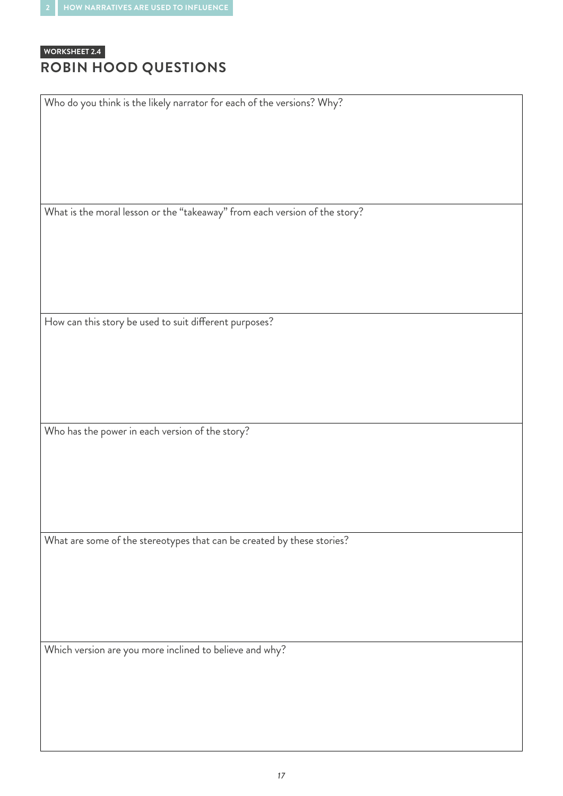## **WORKSHEET 2.4 ROBIN HOOD QUESTIONS**

Who do you think is the likely narrator for each of the versions? Why?

What is the moral lesson or the "takeaway" from each version of the story?

How can this story be used to suit different purposes?

Who has the power in each version of the story?

What are some of the stereotypes that can be created by these stories?

Which version are you more inclined to believe and why?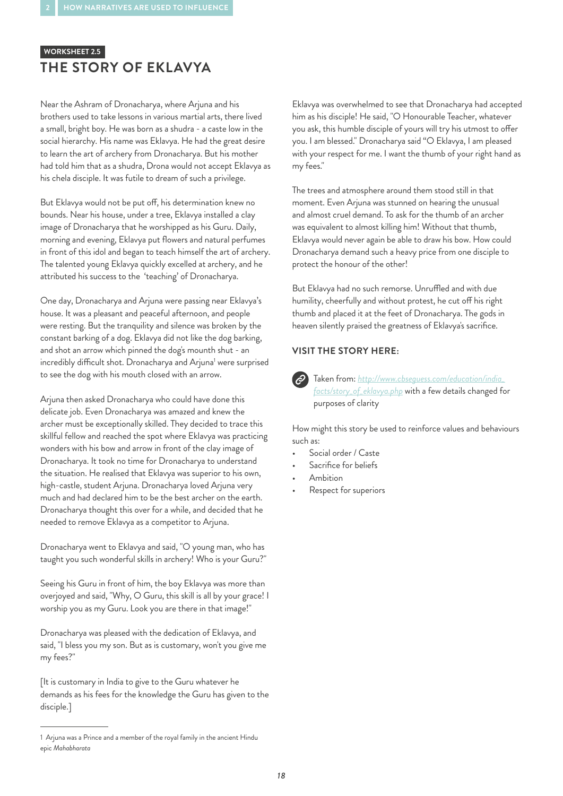## **WORKSHEET 2.5 THE STORY OF EKLAVYA**

Near the Ashram of Dronacharya, where Arjuna and his brothers used to take lessons in various martial arts, there lived a small, bright boy. He was born as a shudra - a caste low in the social hierarchy. His name was Eklavya. He had the great desire to learn the art of archery from Dronacharya. But his mother had told him that as a shudra, Drona would not accept Eklavya as his chela disciple. It was futile to dream of such a privilege.

But Eklavya would not be put off, his determination knew no bounds. Near his house, under a tree, Eklavya installed a clay image of Dronacharya that he worshipped as his Guru. Daily, morning and evening, Eklavya put flowers and natural perfumes in front of this idol and began to teach himself the art of archery. The talented young Eklavya quickly excelled at archery, and he attributed his success to the 'teaching' of Dronacharya.

One day, Dronacharya and Arjuna were passing near Eklavya's house. It was a pleasant and peaceful afternoon, and people were resting. But the tranquility and silence was broken by the constant barking of a dog. Eklavya did not like the dog barking, and shot an arrow which pinned the dog's mounth shut - an incredibly difficult shot. Dronacharya and Arjuna<sup>1</sup> were surprised to see the dog with his mouth closed with an arrow.

Arjuna then asked Dronacharya who could have done this delicate job. Even Dronacharya was amazed and knew the archer must be exceptionally skilled. They decided to trace this skillful fellow and reached the spot where Eklavya was practicing wonders with his bow and arrow in front of the clay image of Dronacharya. It took no time for Dronacharya to understand the situation. He realised that Eklavya was superior to his own, high-castle, student Arjuna. Dronacharya loved Arjuna very much and had declared him to be the best archer on the earth. Dronacharya thought this over for a while, and decided that he needed to remove Eklavya as a competitor to Arjuna.

Dronacharya went to Eklavya and said, "O young man, who has taught you such wonderful skills in archery! Who is your Guru?"

Seeing his Guru in front of him, the boy Eklavya was more than overjoyed and said, "Why, O Guru, this skill is all by your grace! I worship you as my Guru. Look you are there in that image!"

Dronacharya was pleased with the dedication of Eklavya, and said, "I bless you my son. But as is customary, won't you give me my fees?"

[It is customary in India to give to the Guru whatever he demands as his fees for the knowledge the Guru has given to the disciple.]

Eklavya was overwhelmed to see that Dronacharya had accepted him as his disciple! He said, "O Honourable Teacher, whatever you ask, this humble disciple of yours will try his utmost to offer you. I am blessed." Dronacharya said "O Eklavya, I am pleased with your respect for me. I want the thumb of your right hand as my fees."

The trees and atmosphere around them stood still in that moment. Even Arjuna was stunned on hearing the unusual and almost cruel demand. To ask for the thumb of an archer was equivalent to almost killing him! Without that thumb, Eklavya would never again be able to draw his bow. How could Dronacharya demand such a heavy price from one disciple to protect the honour of the other!

But Eklavya had no such remorse. Unruffled and with due humility, cheerfully and without protest, he cut off his right thumb and placed it at the feet of Dronacharya. The gods in heaven silently praised the greatness of Eklavya's sacrifice.

## **VISIT THE STORY HERE:**

Taken from: *[http://www.cbseguess.com/education/india\\_](http://www.cbseguess.com/education/india_facts/story_of_eklavya.php) [facts/story\\_of\\_eklavya.php](http://www.cbseguess.com/education/india_facts/story_of_eklavya.php)* with a few details changed for purposes of clarity

How might this story be used to reinforce values and behaviours such as:

- Social order / Caste
- Sacrifice for beliefs
- Ambition
- Respect for superiors

<sup>1</sup> Arjuna was a Prince and a member of the royal family in the ancient Hindu epic *Mahabharata*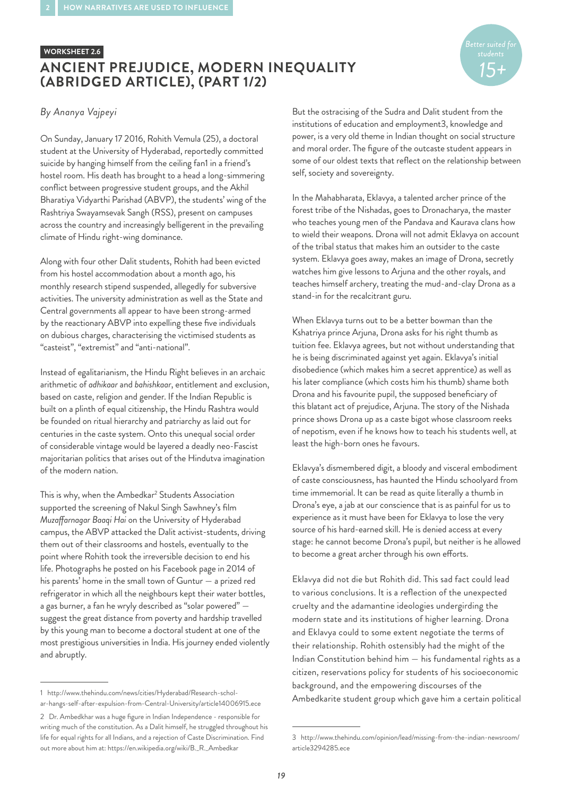## **WORKSHEET 2.6 ANCIENT PREJUDICE, MODERN INEQUALITY (ABRIDGED ARTICLE), (PART 1/2)**



## *By Ananya Vajpeyi*

On Sunday, January 17 2016, Rohith Vemula (25), a doctoral student at the University of Hyderabad, [reportedly committed](http://www.thehindu.com/news/cities/Hyderabad/research-scholar-hangs-self-after-expulsion-from-university-of-hyderabad/article8116855.ece)  [suicide by hanging himself from the ceiling fan1](http://www.thehindu.com/news/cities/Hyderabad/research-scholar-hangs-self-after-expulsion-from-university-of-hyderabad/article8116855.ece) in a friend's hostel room. His death has brought to a head a long-simmering conflict between progressive student groups, and the Akhil Bharatiya Vidyarthi Parishad (ABVP), the students' wing of the Rashtriya Swayamsevak Sangh (RSS), present on campuses across the country and increasingly belligerent in the prevailing climate of Hindu right-wing dominance.

Along with four other Dalit students, Rohith had been evicted from his hostel accommodation about a month ago, his monthly research stipend suspended, allegedly for subversive activities. The university administration as well as the State and Central governments all appear to have been strong-armed by the reactionary ABVP into expelling these five individuals on dubious charges, characterising the victimised students as "casteist", "extremist" and "anti-national".

Instead of egalitarianism, the Hindu Right believes in an archaic arithmetic of *adhikaar* and *bahishkaar*, entitlement and exclusion, based on caste, religion and gender. If the Indian Republic is built on a plinth of equal citizenship, the Hindu Rashtra would be founded on ritual hierarchy and patriarchy as laid out for centuries in the caste system. Onto this unequal social order of considerable vintage would be layered a deadly neo-Fascist majoritarian politics that arises out of the Hindutva imagination of the modern nation.

This is why, when the Ambedkar<sup>2</sup> Students Association supported the screening of Nakul Singh Sawhney's film *Muzaffarnagar Baaqi Hai* on the University of Hyderabad campus, the ABVP attacked the Dalit activist-students, driving them out of their classrooms and hostels, eventually to the point where Rohith took the irreversible decision to end his life. Photographs he posted on his Facebook page in 2014 of his parents' home in the small town of Guntur — a prized red refrigerator in which all the neighbours kept their water bottles, a gas burner, a fan he wryly described as "solar powered" suggest the great distance from poverty and hardship travelled by this young man to become a doctoral student at one of the most prestigious universities in India. His journey ended violently and abruptly.

1 [http://www.thehindu.com/news/cities/Hyderabad/Research-schol](http://www.thehindu.com/news/cities/Hyderabad/Research-scholar-hangs-self-after-expulsion-from-Central-University/article14006915.ece)[ar-hangs-self-after-expulsion-from-Central-University/article14006915.ece](http://www.thehindu.com/news/cities/Hyderabad/Research-scholar-hangs-self-after-expulsion-from-Central-University/article14006915.ece)

But the ostracising of the [Sudra and Dalit student from the](http://www.thehindu.com/opinion/lead/missing-from-the-indian-newsroom/article3294285.ece)  [institutions of education and employment](http://www.thehindu.com/opinion/lead/missing-from-the-indian-newsroom/article3294285.ece)3, knowledge and power, is a very old theme in Indian thought on social structure and moral order. The figure of the outcaste student appears in some of our oldest texts that reflect on the relationship between self, society and sovereignty.

In the Mahabharata, Eklavya, a talented archer prince of the forest tribe of the Nishadas, goes to Dronacharya, the master who teaches young men of the Pandava and Kaurava clans how to wield their weapons. Drona will not admit Eklavya on account of the tribal status that makes him an outsider to the caste system. Eklavya goes away, makes an image of Drona, secretly watches him give lessons to Arjuna and the other royals, and teaches himself archery, treating the mud-and-clay Drona as a stand-in for the recalcitrant guru.

When Eklavya turns out to be a better bowman than the Kshatriya prince Arjuna, Drona asks for his right thumb as tuition fee. Eklavya agrees, but not without understanding that he is being discriminated against yet again. Eklavya's initial disobedience (which makes him a secret apprentice) as well as his later compliance (which costs him his thumb) shame both Drona and his favourite pupil, the supposed beneficiary of this blatant act of prejudice, Arjuna. The story of the Nishada prince shows Drona up as a caste bigot whose classroom reeks of nepotism, even if he knows how to teach his students well, at least the high-born ones he favours.

Eklavya's dismembered digit, a bloody and visceral embodiment of caste consciousness, has haunted the Hindu schoolyard from time immemorial. It can be read as quite literally a thumb in Drona's eye, a jab at our conscience that is as painful for us to experience as it must have been for Eklavya to lose the very source of his hard-earned skill. He is denied access at every stage: he cannot become Drona's pupil, but neither is he allowed to become a great archer through his own efforts.

Eklavya did not die but Rohith did. This sad fact could lead to various conclusions. It is a reflection of the unexpected cruelty and the adamantine ideologies undergirding the modern state and its institutions of higher learning. Drona and Eklavya could to some extent negotiate the terms of their relationship. Rohith ostensibly had the might of the Indian Constitution behind him — his fundamental rights as a citizen, reservations policy for students of his socioeconomic background, and the empowering discourses of the Ambedkarite student group which gave him a certain political

<sup>2</sup> Dr. Ambedkhar was a huge figure in Indian Independence - responsible for writing much of the constitution. As a Dalit himself, he struggled throughout his life for equal rights for all Indians, and a rejection of Caste Discrimination. Find out more about him at: [https://en.wikipedia.org/wiki/B.\\_R.\\_Ambedkar](https://en.wikipedia.org/wiki/B._R._Ambedkar)

<sup>3</sup> [http://www.thehindu.com/opinion/lead/missing-from-the-indian-newsroom/](http://www.thehindu.com/opinion/lead/missing-from-the-indian-newsroom/article3294285.ece) [article3294285.ece](http://www.thehindu.com/opinion/lead/missing-from-the-indian-newsroom/article3294285.ece)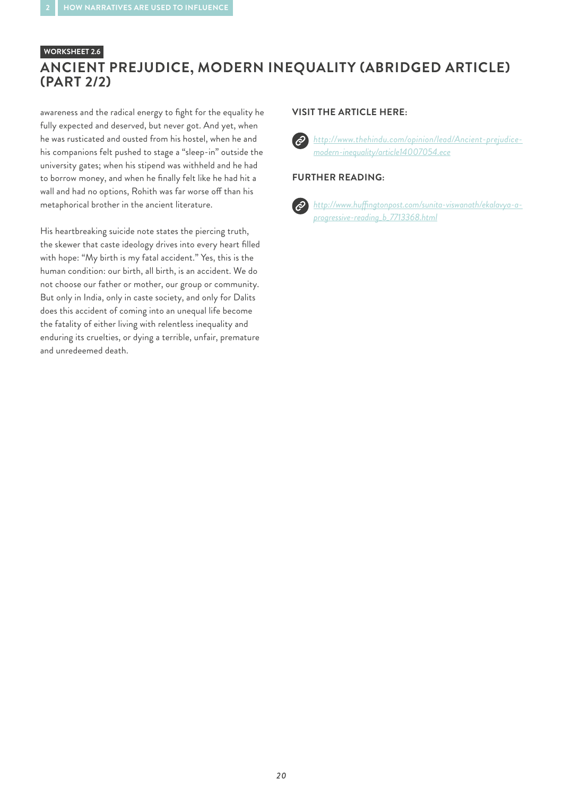## **WORKSHEET 2.6 ANCIENT PREJUDICE, MODERN INEQUALITY (ABRIDGED ARTICLE) (PART 2/2)**

awareness and the radical energy to fight for the equality he fully expected and deserved, but never got. And yet, when he was rusticated and ousted from his hostel, when he and his companions felt pushed to stage a "sleep-in" outside the university gates; when his stipend was withheld and he had to borrow money, and when he finally felt like he had hit a wall and had no options, Rohith was far worse off than his metaphorical brother in the ancient literature.

His heartbreaking suicide note states the piercing truth, the skewer that caste ideology drives into every heart filled with hope: "My birth is my fatal accident." Yes, this is the human condition: our birth, all birth, is an accident. We do not choose our father or mother, our group or community. But only in India, only in caste society, and only for Dalits does this accident of coming into an unequal life become the fatality of either living with relentless inequality and enduring its cruelties, or dying a terrible, unfair, premature and unredeemed death.

## **VISIT THE ARTICLE HERE:**



*[http://www.thehindu.com/opinion/lead/Ancient-prejudice](http://www.thehindu.com/opinion/lead/Ancient-prejudice-modern-inequality/article14007054.ece)[modern-inequality/article14007054.ece](http://www.thehindu.com/opinion/lead/Ancient-prejudice-modern-inequality/article14007054.ece)*

## **FURTHER READING:**



*[http://www.huffingtonpost.com/sunita-viswanath/ekalavya-a](http://www.huffingtonpost.com/sunita-viswanath/ekalavya-a-progressive-reading_b_7713368.html)[progressive-reading\\_b\\_7713368.html](http://www.huffingtonpost.com/sunita-viswanath/ekalavya-a-progressive-reading_b_7713368.html)*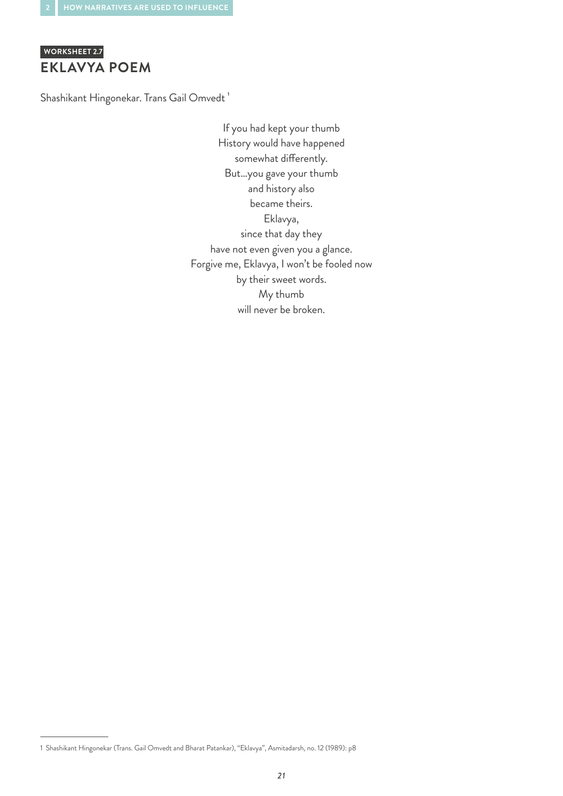## **WORKSHEET 2.7 EKLAVYA POEM**

Shashikant Hingonekar. Trans Gail Omvedt 1

If you had kept your thumb History would have happened somewhat differently. But…you gave your thumb and history also became theirs. Eklavya, since that day they have not even given you a glance. Forgive me, Eklavya, I won't be fooled now by their sweet words. My thumb will never be broken.

<sup>1</sup> Shashikant Hingonekar (Trans. Gail Omvedt and Bharat Patankar), "Eklavya", Asmitadarsh, no. 12 (1989): p8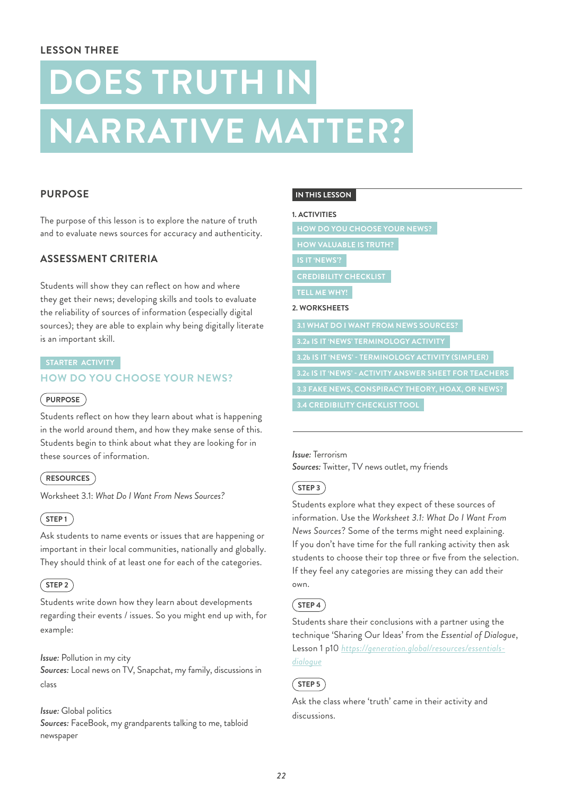## **LESSON THREE**

# **DOES TRUTH IN NARRATIVE MATTER?**

## **PURPOSE**

The purpose of this lesson is to explore the nature of truth and to evaluate news sources for accuracy and authenticity.

## **ASSESSMENT CRITERIA**

Students will show they can reflect on how and where they get their news; developing skills and tools to evaluate the reliability of sources of information (especially digital sources); they are able to explain why being digitally literate is an important skill.

# **HOW DO YOU CHOOSE YOUR NEWS?**

## **PURPOSE**

Students reflect on how they learn about what is happening in the world around them, and how they make sense of this. Students begin to think about what they are looking for in these sources of information.

## **RESOURCES**

Worksheet 3.1: *What Do I Want From News Sources?*

## $STEP1$

Ask students to name events or issues that are happening or important in their local communities, nationally and globally. They should think of at least one for each of the categories.

## $(STEP2)$

Students write down how they learn about developments regarding their events / issues. So you might end up with, for example:

## *Issue:* Pollution in my city

*Sources:* Local news on TV, Snapchat, my family, discussions in class

*Issue:* Global politics *Sources:* FaceBook, my grandparents talking to me, tabloid newspaper

## **IN THIS LESSON**

### **1. ACTIVITIES**

| <b>HOW VALUABLE IS TRUTH?</b><br>IS IT 'NEWS'?<br><b>CREDIBILITY CHECKLIST</b><br><b>TELL ME WHY!</b><br>2. WORKSHEETS<br>3.1 WHAT DO I WANT FROM NEWS SOURCES?<br>3.2a IS IT 'NEWS' TERMINOLOGY ACTIVITY<br>3.2b IS IT 'NEWS' - TERMINOLOGY ACTIVITY (SIMPLER)<br>3.2c IS IT 'NEWS' - ACTIVITY ANSWER SHEET FOR TEACHERS<br>3.3 FAKE NEWS, CONSPIRACY THEORY, HOAX, OR NEWS?<br><b>3.4 CREDIBILITY CHECKLIST TOOL</b> | HOW DO YOU CHOOSE YOUR NEWS? |
|------------------------------------------------------------------------------------------------------------------------------------------------------------------------------------------------------------------------------------------------------------------------------------------------------------------------------------------------------------------------------------------------------------------------|------------------------------|
|                                                                                                                                                                                                                                                                                                                                                                                                                        |                              |
|                                                                                                                                                                                                                                                                                                                                                                                                                        |                              |
|                                                                                                                                                                                                                                                                                                                                                                                                                        |                              |
|                                                                                                                                                                                                                                                                                                                                                                                                                        |                              |
|                                                                                                                                                                                                                                                                                                                                                                                                                        |                              |
|                                                                                                                                                                                                                                                                                                                                                                                                                        |                              |
|                                                                                                                                                                                                                                                                                                                                                                                                                        |                              |
|                                                                                                                                                                                                                                                                                                                                                                                                                        |                              |
|                                                                                                                                                                                                                                                                                                                                                                                                                        |                              |
|                                                                                                                                                                                                                                                                                                                                                                                                                        |                              |
|                                                                                                                                                                                                                                                                                                                                                                                                                        |                              |

*Issue:* Terrorism *Sources:* Twitter, TV news outlet, my friends

## **STEP 3**

Students explore what they expect of these sources of information. Use the *Worksheet 3.1: What Do I Want From News Sources*? Some of the terms might need explaining. If you don't have time for the full ranking activity then ask students to choose their top three or five from the selection. If they feel any categories are missing they can add their own.

## $(STEP 4)$

Students share their conclusions with a partner using the technique 'Sharing Our Ideas' from the *Essential of Dialogue*, Lesson 1 p10 *[https://generation.global/resources/essentials](https://generation.global/resources/essentials-dialogue)[dialogue](https://generation.global/resources/essentials-dialogue)*

## **STEP 5**

Ask the class where 'truth' came in their activity and discussions.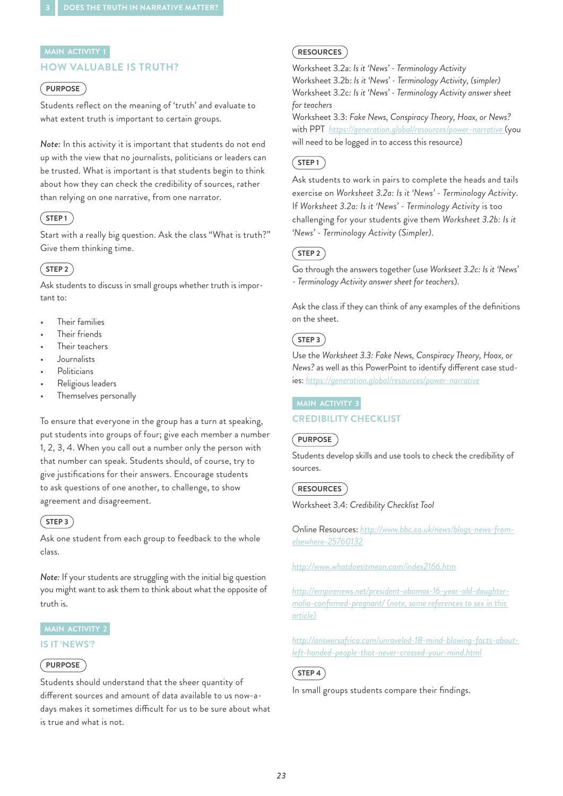## **HOW VALUABLE IS TRUTH?**

## **PURPOSE**

Students reflect on the meaning of 'truth' and evaluate to what extent truth is important to certain groups.

*Note:* In this activity it is important that students do not end up with the view that no journalists, politicians or leaders can be trusted. What is important is that students begin to think about how they can check the credibility of sources, rather than relying on one narrative, from one narrator.

## $(STEP1)$

Start with a really big question. Ask the class "What is truth?" Give them thinking time.

## $($  STEP 2  $)$

Ask students to discuss in small groups whether truth is important to:

- Their families
- Their friends
- Their teachers
- Journalists
- **Politicians**
- Religious leaders
- Themselves personally

To ensure that everyone in the group has a turn at speaking, put students into groups of four; give each member a number 1, 2, 3, 4. When you call out a number only the person with that number can speak. Students should, of course, try to give justifications for their answers. Encourage students to ask questions of one another, to challenge, to show agreement and disagreement.

## $(STEP 3)$

Ask one student from each group to feedback to the whole class.

*Note:* If your students are struggling with the initial big question you might want to ask them to think about what the opposite of truth is.

## **MAIN ACTIVITY 2**

## **IS IT 'NEWS'?**

## **PURPOSE**

Students should understand that the sheer quantity of different sources and amount of data available to us now-adays makes it sometimes difficult for us to be sure about what is true and what is not.

## **RESOURCES**

Worksheet 3.2a: *Is it 'News' - Terminology Activity* Worksheet 3.2b: *Is it 'News' - Terminology Activity, (simpler)* Worksheet 3.2c*: Is it 'News' - Terminology Activity answer sheet for teachers*

Worksheet 3.3: *Fake News, Conspiracy Theory, Hoax, or News?*  with PPT *[https://generation.global/resources/power-narrative](https://generation.global/resources/power-narrative )* (you will need to be logged in to access this resource)

## $S$ TEP<sub>1</sub>

Ask students to work in pairs to complete the heads and tails exercise on *Worksheet 3.2a: Is it 'News' - Terminology Activity*. If *Worksheet 3.2a: Is it 'News' - Terminology Activity* is too challenging for your students give them *Worksheet 3.2b: Is it 'News' - Terminology Activity (Simpler)*.

## $($  STEP 2  $)$

Go through the answers together (use *Workseet 3.2c: Is it 'News' - Terminology Activity answer sheet for teachers*).

Ask the class if they can think of any examples of the definitions on the sheet.

## $($  STEP 3  $)$

Use the *Worksheet 3.3: Fake News, Conspiracy Theory, Hoax, or News?* as well as this PowerPoint to identify different case studies: *<https://generation.global/resources/power-narrative>*

# **CREDIBILITY CHECKLIST**

## **PURPOSE**

Students develop skills and use tools to check the credibility of sources.

## **RESOURCES**

Worksheet 3.4: *Credibility Checklist Tool*

Online Resources: *[http://www.bbc.co.uk/news/blogs-news-from](http://www.bbc.co.uk/news/blogs-news-from-elsewhere-25760132)[elsewhere-25760132](http://www.bbc.co.uk/news/blogs-news-from-elsewhere-25760132)*

*<http://www.whatdoesitmean.com/index2166.htm>*

*[http://empirenews.net/president-obamas-16-year-old-daughter](http://empirenews.net/president-obamas-16-year-old-daughter-malia-confirmed-pregnant/ (note, some references to sex in this article))[malia-confirmed-pregnant/ \(note, some references to sex in this](http://empirenews.net/president-obamas-16-year-old-daughter-malia-confirmed-pregnant/ (note, some references to sex in this article))  [article\)](http://empirenews.net/president-obamas-16-year-old-daughter-malia-confirmed-pregnant/ (note, some references to sex in this article))*

*[http://answersafrica.com/unraveled-18-mind-blowing-facts-about](http://answersafrica.com/unraveled-18-mind-blowing-facts-about-left-handed-people-that-never-crossed-your-mind.html)[left-handed-people-that-never-crossed-your-mind.html](http://answersafrica.com/unraveled-18-mind-blowing-facts-about-left-handed-people-that-never-crossed-your-mind.html)*

## **STEP 4**

In small groups students compare their findings.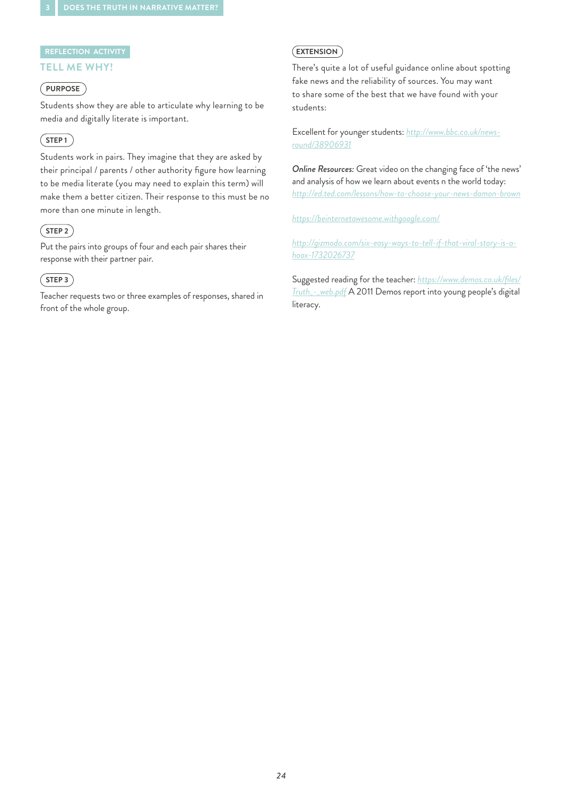## **TELL ME WHY!**

## **PURPOSE**

Students show they are able to articulate why learning to be media and digitally literate is important.

## **STEP 1**

Students work in pairs. They imagine that they are asked by their principal / parents / other authority figure how learning to be media literate (you may need to explain this term) will make them a better citizen. Their response to this must be no more than one minute in length.

## $(STEP 2)$

Put the pairs into groups of four and each pair shares their response with their partner pair.

## **STEP 3**

Teacher requests two or three examples of responses, shared in front of the whole group.

## **EXTENSION**

There's quite a lot of useful guidance online about spotting fake news and the reliability of sources. You may want to share some of the best that we have found with your students:

Excellent for younger students: *[http://www.bbc.co.uk/news](http://www.bbc.co.uk/newsround/38906931)[round/38906931](http://www.bbc.co.uk/newsround/38906931)*

*Online Resources:* Great video on the changing face of 'the news' and analysis of how we learn about events n the world today: *<http://ed.ted.com/lessons/how-to-choose-your-news-damon-brown>*

*[https://beinternetawesome.withgoogle.com/](https://beinternetawesome.withgoogle.com/ )*

*[http://gizmodo.com/six-easy-ways-to-tell-if-that-viral-story-is-a](http://gizmodo.com/six-easy-ways-to-tell-if-that-viral-story-is-a-hoax-1732026737)[hoax-1732026737](http://gizmodo.com/six-easy-ways-to-tell-if-that-viral-story-is-a-hoax-1732026737)*

Suggested reading for the teacher: *[https://www.demos.co.uk/files/](https://www.demos.co.uk/files/Truth_-_web.pdf) [Truth\\_-\\_web.pdf](https://www.demos.co.uk/files/Truth_-_web.pdf)* A 2011 Demos report into young people's digital literacy.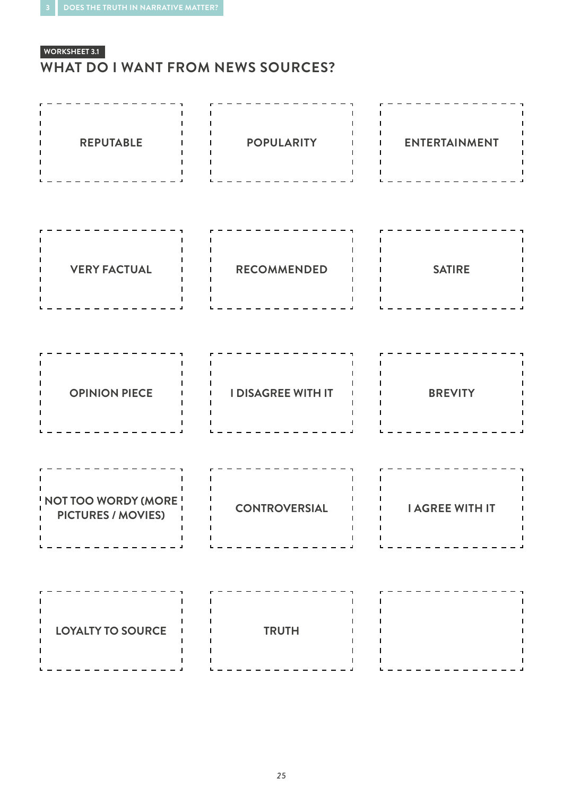## **WORKSHEET 3.1**

## **WHAT DO I WANT FROM NEWS SOURCES?**

| <b>REPUTABLE</b>                                 | <b>POPULARITY</b>         | <b>ENTERTAINMENT</b>   |  |
|--------------------------------------------------|---------------------------|------------------------|--|
| <b>VERY FACTUAL</b>                              | <b>RECOMMENDED</b>        | <b>SATIRE</b>          |  |
|                                                  |                           |                        |  |
| <b>OPINION PIECE</b>                             | <b>I DISAGREE WITH IT</b> | <b>BREVITY</b>         |  |
| NOT TOO WORDY (MORE<br><b>PICTURES / MOVIES)</b> | <b>CONTROVERSIAL</b>      | <b>I AGREE WITH IT</b> |  |
|                                                  |                           |                        |  |
| <b>LOYALTY TO SOURCE</b>                         | <b>TRUTH</b>              |                        |  |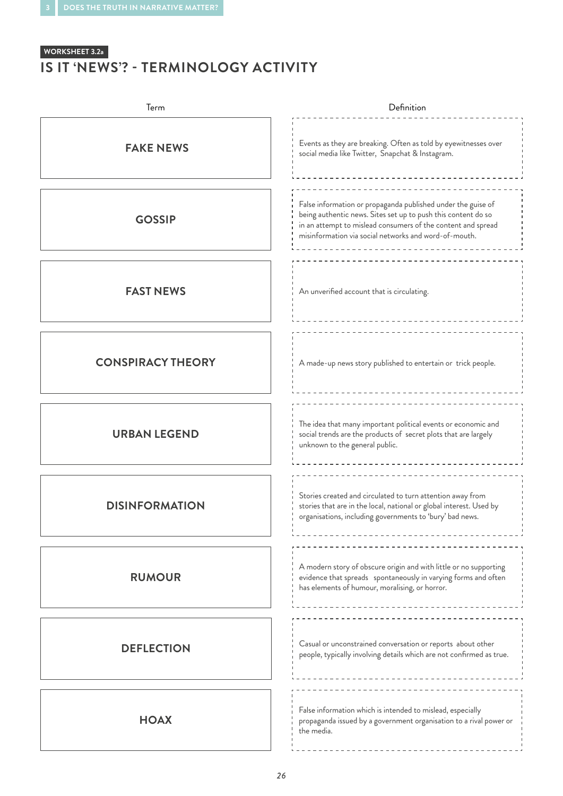## **WORKSHEET 3.2a IS IT 'NEWS'? - TERMINOLOGY ACTIVITY**

| Term                     | Definition                                                                                                                                                                                                                                             |  |  |
|--------------------------|--------------------------------------------------------------------------------------------------------------------------------------------------------------------------------------------------------------------------------------------------------|--|--|
| <b>FAKE NEWS</b>         | Events as they are breaking. Often as told by eyewitnesses over<br>social media like Twitter, Snapchat & Instagram.                                                                                                                                    |  |  |
| <b>GOSSIP</b>            | False information or propaganda published under the guise of<br>being authentic news. Sites set up to push this content do so<br>in an attempt to mislead consumers of the content and spread<br>misinformation via social networks and word-of-mouth. |  |  |
| <b>FAST NEWS</b>         | An unverified account that is circulating.                                                                                                                                                                                                             |  |  |
| <b>CONSPIRACY THEORY</b> | A made-up news story published to entertain or trick people.                                                                                                                                                                                           |  |  |
| <b>URBAN LEGEND</b>      | The idea that many important political events or economic and<br>social trends are the products of secret plots that are largely<br>unknown to the general public.                                                                                     |  |  |
| <b>DISINFORMATION</b>    | Stories created and circulated to turn attention away from<br>stories that are in the local, national or global interest. Used by<br>organisations, including governments to 'bury' bad news.                                                          |  |  |
| <b>RUMOUR</b>            | A modern story of obscure origin and with little or no supporting<br>evidence that spreads spontaneously in varying forms and often<br>has elements of humour, moralising, or horror.                                                                  |  |  |
| <b>DEFLECTION</b>        | Casual or unconstrained conversation or reports about other<br>people, typically involving details which are not confirmed as true.                                                                                                                    |  |  |
| <b>HOAX</b>              | False information which is intended to mislead, especially<br>propaganda issued by a government organisation to a rival power or<br>the media.                                                                                                         |  |  |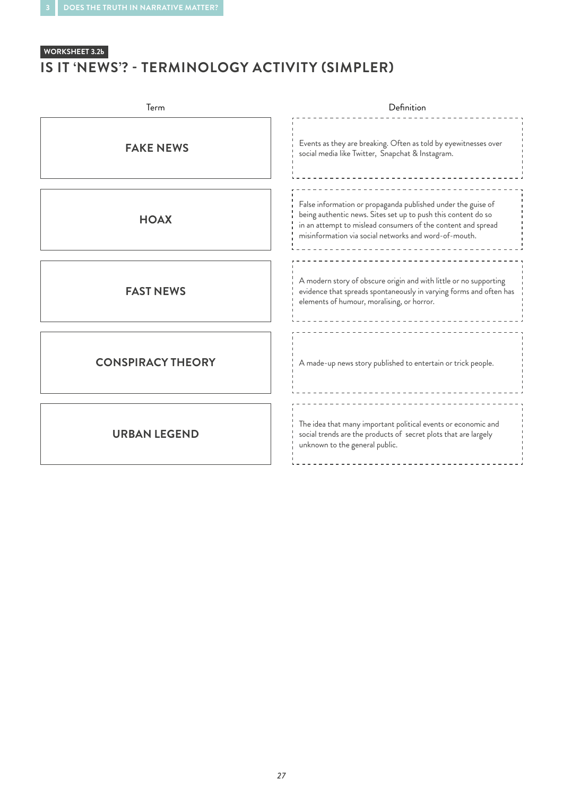## **WORKSHEET 3.2b IS IT 'NEWS'? - TERMINOLOGY ACTIVITY (SIMPLER)**

| Term                     | Definition                                                                                                                                                                                                                                             |
|--------------------------|--------------------------------------------------------------------------------------------------------------------------------------------------------------------------------------------------------------------------------------------------------|
| <b>FAKE NEWS</b>         | Events as they are breaking. Often as told by eyewitnesses over<br>social media like Twitter, Snapchat & Instagram.                                                                                                                                    |
| <b>HOAX</b>              | False information or propaganda published under the guise of<br>being authentic news. Sites set up to push this content do so<br>in an attempt to mislead consumers of the content and spread<br>misinformation via social networks and word-of-mouth. |
| <b>FAST NEWS</b>         | A modern story of obscure origin and with little or no supporting<br>evidence that spreads spontaneously in varying forms and often has<br>elements of humour, moralising, or horror.                                                                  |
| <b>CONSPIRACY THEORY</b> | A made-up news story published to entertain or trick people.                                                                                                                                                                                           |
| <b>URBAN LEGEND</b>      | The idea that many important political events or economic and<br>social trends are the products of secret plots that are largely<br>unknown to the general public.                                                                                     |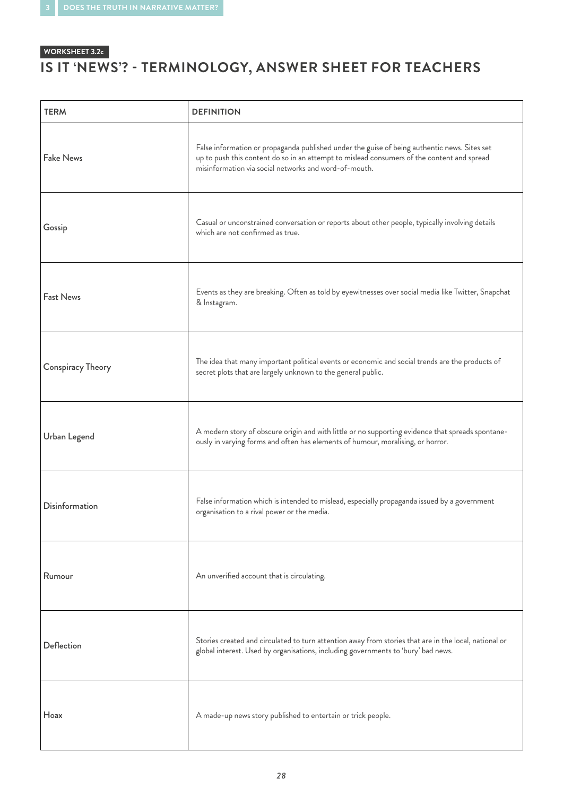## **WORKSHEET 3.2c IS IT 'NEWS'? - TERMINOLOGY, ANSWER SHEET FOR TEACHERS**

| <b>TERM</b>              | <b>DEFINITION</b>                                                                                                                                                                                                                                   |  |
|--------------------------|-----------------------------------------------------------------------------------------------------------------------------------------------------------------------------------------------------------------------------------------------------|--|
| <b>Fake News</b>         | False information or propaganda published under the guise of being authentic news. Sites set<br>up to push this content do so in an attempt to mislead consumers of the content and spread<br>misinformation via social networks and word-of-mouth. |  |
| Gossip                   | Casual or unconstrained conversation or reports about other people, typically involving details<br>which are not confirmed as true.                                                                                                                 |  |
| <b>Fast News</b>         | Events as they are breaking. Often as told by eyewitnesses over social media like Twitter, Snapchat<br>& Instagram.                                                                                                                                 |  |
| <b>Conspiracy Theory</b> | The idea that many important political events or economic and social trends are the products of<br>secret plots that are largely unknown to the general public.                                                                                     |  |
| Urban Legend             | A modern story of obscure origin and with little or no supporting evidence that spreads spontane-<br>ously in varying forms and often has elements of humour, moralising, or horror.                                                                |  |
| <b>Disinformation</b>    | False information which is intended to mislead, especially propaganda issued by a government<br>organisation to a rival power or the media.                                                                                                         |  |
| Rumour                   | An unverified account that is circulating.                                                                                                                                                                                                          |  |
| Deflection               | Stories created and circulated to turn attention away from stories that are in the local, national or<br>global interest. Used by organisations, including governments to 'bury' bad news.                                                          |  |
| Hoax                     | A made-up news story published to entertain or trick people.                                                                                                                                                                                        |  |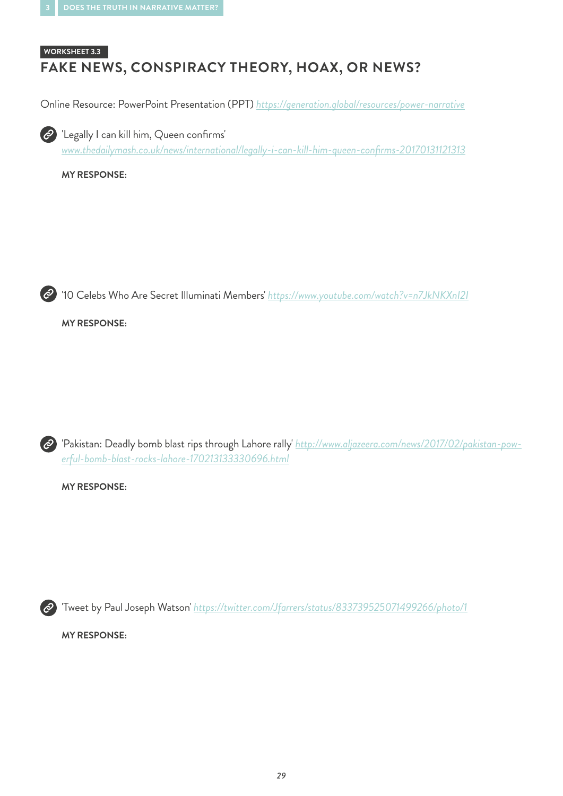## **WORKSHEET 3.3 FAKE NEWS, CONSPIRACY THEORY, HOAX, OR NEWS?**

Online Resource: PowerPoint Presentation (PPT) *<https://generation.global/resources/power-narrative>*

'Legally I can kill him, Queen confirms' *[www.thedailymash.co.uk/news/international/legally-i-can-kill-him-queen-confirms-20170131121313](http:////www.thedailymash.co.uk/news/international/legally-i-can-kill-him-queen-confirms-20170131121313)*

**MY RESPONSE:**

'10 Celebs Who Are Secret Illuminati Members' *<https://www.youtube.com/watch?v=n7JkNKXnI2I>*

**MY RESPONSE:**

'Pakistan: Deadly bomb blast rips through Lahore rally' *[http://www.aljazeera.com/news/2017/02/pakistan-pow](http://www.aljazeera.com/news/2017/02/pakistan-powerful-bomb-blast-rocks-lahore-170213133330696.html)[erful-bomb-blast-rocks-lahore-170213133330696.html](http://www.aljazeera.com/news/2017/02/pakistan-powerful-bomb-blast-rocks-lahore-170213133330696.html)*

**MY RESPONSE:**



'Tweet by Paul Joseph Watson' *[https://twitter.com/Jfarrers/status/833739525071499266/photo/1](https://twitter.com/Jfarrers/status/833739525071499266/photo/1  )*

**MY RESPONSE:**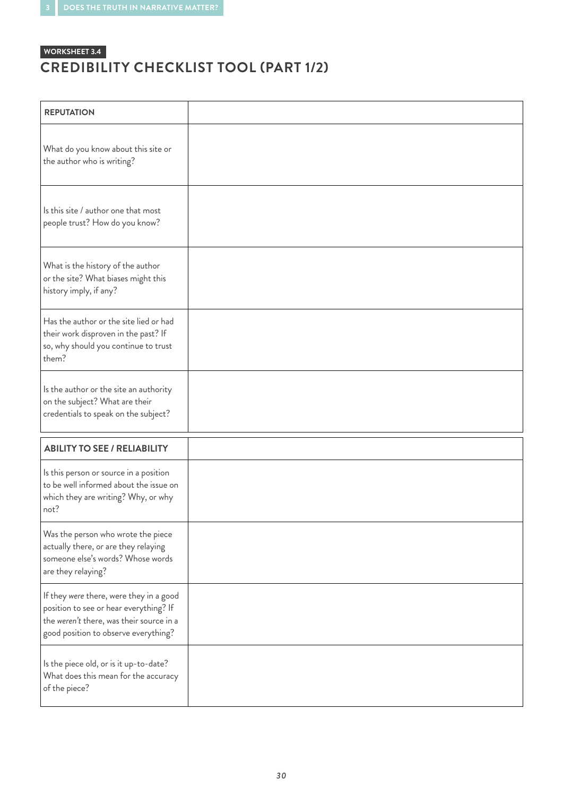## **WORKSHEET 3.4**

## **CREDIBILITY CHECKLIST TOOL (PART 1/2)**

| <b>REPUTATION</b>                                                                                                                                                     |  |
|-----------------------------------------------------------------------------------------------------------------------------------------------------------------------|--|
| What do you know about this site or<br>the author who is writing?                                                                                                     |  |
| Is this site / author one that most<br>people trust? How do you know?                                                                                                 |  |
| What is the history of the author<br>or the site? What biases might this<br>history imply, if any?                                                                    |  |
| Has the author or the site lied or had<br>their work disproven in the past? If<br>so, why should you continue to trust<br>them?                                       |  |
| Is the author or the site an authority<br>on the subject? What are their<br>credentials to speak on the subject?                                                      |  |
| <b>ABILITY TO SEE / RELIABILITY</b>                                                                                                                                   |  |
| Is this person or source in a position<br>to be well informed about the issue on<br>which they are writing? Why, or why<br>not?                                       |  |
| Was the person who wrote the piece<br>actually there, or are they relaying<br>someone else's words? Whose words<br>are they relaying?                                 |  |
| If they were there, were they in a good<br>position to see or hear everything? If<br>the weren't there, was their source in a<br>good position to observe everything? |  |
| Is the piece old, or is it up-to-date?<br>What does this mean for the accuracy<br>of the piece?                                                                       |  |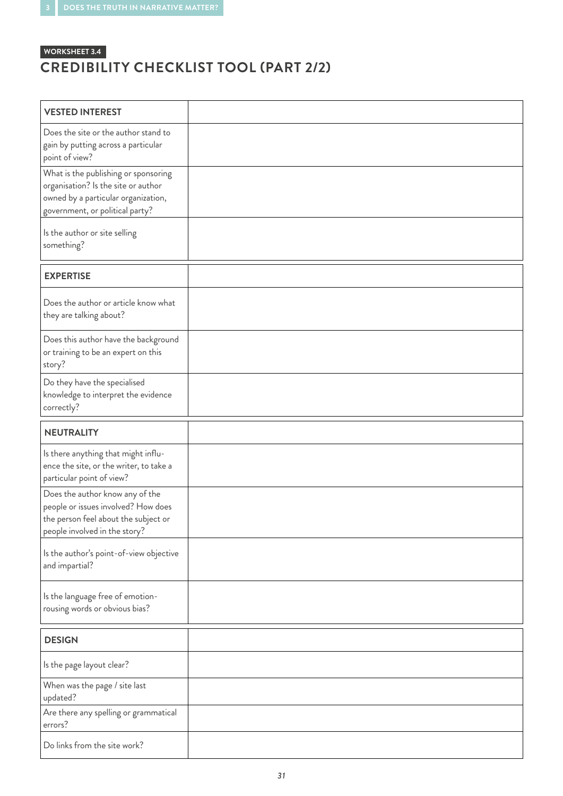## **WORKSHEET 3.4**

## **CREDIBILITY CHECKLIST TOOL (PART 2/2)**

| <b>VESTED INTEREST</b>                                                                                                                                |  |
|-------------------------------------------------------------------------------------------------------------------------------------------------------|--|
| Does the site or the author stand to<br>gain by putting across a particular<br>point of view?                                                         |  |
| What is the publishing or sponsoring<br>organisation? Is the site or author<br>owned by a particular organization,<br>government, or political party? |  |
| Is the author or site selling<br>something?                                                                                                           |  |
| <b>EXPERTISE</b>                                                                                                                                      |  |
| Does the author or article know what<br>they are talking about?                                                                                       |  |
| Does this author have the background<br>or training to be an expert on this<br>story?                                                                 |  |
| Do they have the specialised<br>knowledge to interpret the evidence<br>correctly?                                                                     |  |
| <b>NEUTRALITY</b>                                                                                                                                     |  |
| Is there anything that might influ-<br>ence the site, or the writer, to take a<br>particular point of view?                                           |  |
| Does the author know any of the<br>people or issues involved? How does<br>the person feel about the subject or<br>people involved in the story?       |  |
| Is the author's point-of-view objective<br>and impartial?                                                                                             |  |
| Is the language free of emotion-<br>rousing words or obvious bias?                                                                                    |  |
| <b>DESIGN</b>                                                                                                                                         |  |
| Is the page layout clear?                                                                                                                             |  |
| When was the page / site last<br>updated?                                                                                                             |  |
| Are there any spelling or grammatical<br>errors?                                                                                                      |  |
| Do links from the site work?                                                                                                                          |  |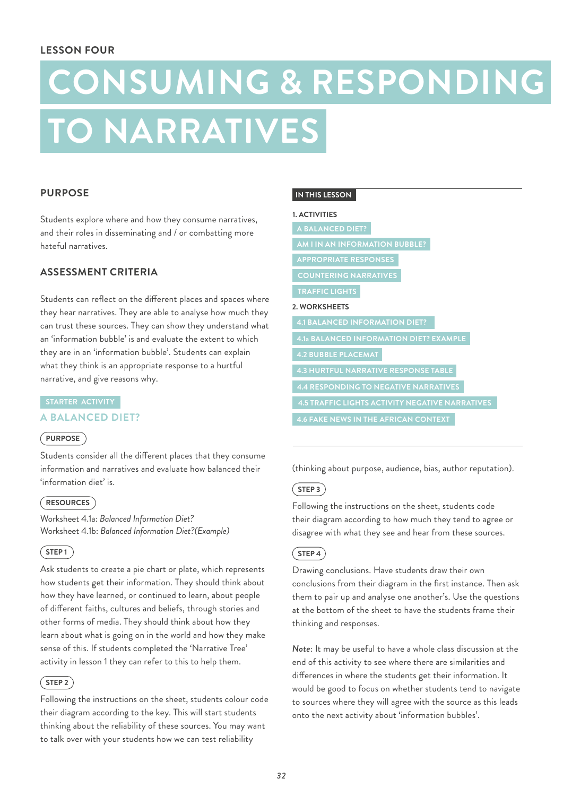## **LESSON FOUR**

# **CONSUMING & RESPONDING TO NARRATIVES**

## **PURPOSE**

Students explore where and how they consume narratives, and their roles in disseminating and / or combatting more hateful narratives.

## **ASSESSMENT CRITERIA**

Students can reflect on the different places and spaces where they hear narratives. They are able to analyse how much they can trust these sources. They can show they understand what an 'information bubble' is and evaluate the extent to which they are in an 'information bubble'. Students can explain what they think is an appropriate response to a hurtful narrative, and give reasons why.

## **A BALANCED DIET?**

## **PURPOSE**

Students consider all the different places that they consume information and narratives and evaluate how balanced their 'information diet' is.

## **RESOURCES**

Worksheet 4.1a: *Balanced Information Diet?* Worksheet 4.1b: *Balanced Information Diet?(Example)*

## $\sqrt{\text{STEP1}}$

Ask students to create a pie chart or plate, which represents how students get their information. They should think about how they have learned, or continued to learn, about people of different faiths, cultures and beliefs, through stories and other forms of media. They should think about how they learn about what is going on in the world and how they make sense of this. If students completed the 'Narrative Tree' activity in lesson 1 they can refer to this to help them.

## $(STEP2)$

Following the instructions on the sheet, students colour code their diagram according to the key. This will start students thinking about the reliability of these sources. You may want to talk over with your students how we can test reliability

## **IN THIS LESSON**

## **1. ACTIVITIES**

- **A BALANCED DIET?**
- **AM I IN AN INFORMATION BUBBLE?**
- **APPROPRIATE RESPONSES**
- **COUNTERING NARRATIVES**
- **TRAFFIC LIGHTS**

## **2. WORKSHEETS**

- 
- **4.1a BALANCED INFORMATION DIET? EXAMPLE**
- **4.2 BUBBLE PLACEMAT**
- **4.3 HURTFUL NARRATIVE RESPONSE TABLE**
- **4.4 RESPONDING TO NEGATIVE NARRATIVES**
- 
- 

(thinking about purpose, audience, bias, author reputation).

## $($  STEP 3  $)$

Following the instructions on the sheet, students code their diagram according to how much they tend to agree or disagree with what they see and hear from these sources.



Drawing conclusions. Have students draw their own conclusions from their diagram in the first instance. Then ask them to pair up and analyse one another's. Use the questions at the bottom of the sheet to have the students frame their thinking and responses.

*Note*: It may be useful to have a whole class discussion at the end of this activity to see where there are similarities and differences in where the students get their information. It would be good to focus on whether students tend to navigate to sources where they will agree with the source as this leads onto the next activity about 'information bubbles'.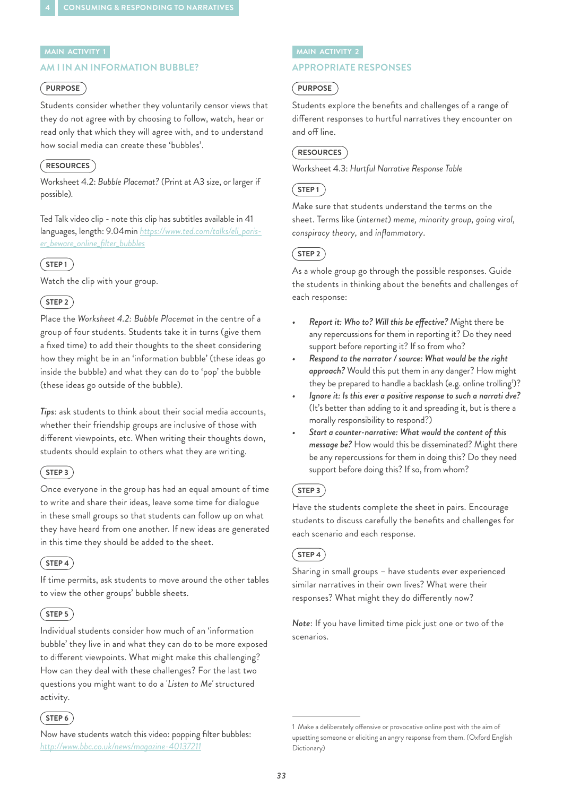## **AM I IN AN INFORMATION BUBBLE?**

## **PURPOSE**

Students consider whether they voluntarily censor views that they do not agree with by choosing to follow, watch, hear or read only that which they will agree with, and to understand how social media can create these 'bubbles'.

## **RESOURCES**

Worksheet 4.2: *Bubble Placemat?* (Print at A3 size, or larger if possible)*.*

Ted Talk video clip - note this clip has subtitles available in 41 languages, length: 9.04min *https://www.ted.com/talks/eli\_pariser\_beware\_online\_filter\_bubbles*

## **STEP 1**

Watch the clip with your group.

## **STEP 2**

Place the *Worksheet 4.2: Bubble Placemat* in the centre of a group of four students. Students take it in turns (give them a fixed time) to add their thoughts to the sheet considering how they might be in an 'information bubble' (these ideas go inside the bubble) and what they can do to 'pop' the bubble (these ideas go outside of the bubble).

*Tips*: ask students to think about their social media accounts, whether their friendship groups are inclusive of those with different viewpoints, etc. When writing their thoughts down, students should explain to others what they are writing.

## **STEP 3**

Once everyone in the group has had an equal amount of time to write and share their ideas, leave some time for dialogue in these small groups so that students can follow up on what they have heard from one another. If new ideas are generated in this time they should be added to the sheet.

## **STEP 4**

If time permits, ask students to move around the other tables to view the other groups' bubble sheets.

## **STEP 5**

Individual students consider how much of an 'information bubble' they live in and what they can do to be more exposed to different viewpoints. What might make this challenging? How can they deal with these challenges? For the last two questions you might want to do a '*Listen to Me'* structured activity.

## $(STEP 6)$

Now have students watch this video: popping filter bubbles: *<http://www.bbc.co.uk/news/magazine-40137211>*

## **APPROPRIATE RESPONSES**

## **PURPOSE**

Students explore the benefits and challenges of a range of different responses to hurtful narratives they encounter on and off line.

## **RESOURCES**

Worksheet 4.3: *Hurtful Narrative Response Table*

## **STEP 1**

Make sure that students understand the terms on the sheet. Terms like (*internet*) *meme, minority group, going viral, conspiracy theory,* and *inflammatory*.

## **STEP 2**

As a whole group go through the possible responses. Guide the students in thinking about the benefits and challenges of each response:

- *• Report it: Who to? Will this be effective?* Might there be any repercussions for them in reporting it? Do they need support before reporting it? If so from who?
- *• Respond to the narrator / source: What would be the right approach?* Would this put them in any danger? How might they be prepared to handle a backlash (e.g. online trolling<sup>1</sup>)?
- *• Ignore it: Is this ever a positive response to such a narrati dve?*  (It's better than adding to it and spreading it, but is there a morally responsibility to respond?)
- *• Start a counter-narrative: What would the content of this message be?* How would this be disseminated? Might there be any repercussions for them in doing this? Do they need support before doing this? If so, from whom?

## $($  STEP 3  $)$

Have the students complete the sheet in pairs. Encourage students to discuss carefully the benefits and challenges for each scenario and each response.

## $(STEP 4)$

Sharing in small groups – have students ever experienced similar narratives in their own lives? What were their responses? What might they do differently now?

*Note*: If you have limited time pick just one or two of the scenarios.

<sup>1</sup> Make a deliberately offensive or provocative online post with the aim of upsetting someone or eliciting an angry response from them. (Oxford English Dictionary)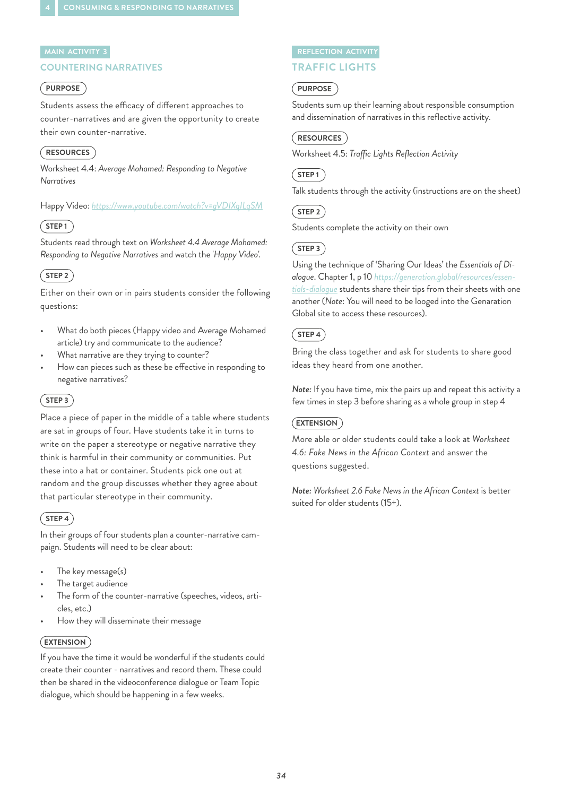## **COUNTERING NARRATIVES**

## **PURPOSE**

Students assess the efficacy of different approaches to counter-narratives and are given the opportunity to create their own counter-narrative.

## **RESOURCES**

Worksheet 4.4: *Average Mohamed: Responding to Negative Narratives*

Happy Video: *[https://www.youtube.com/watch?v=gVDIXqILqSM](https://www.youtube.com/watch?v=gVDIXqILqSM )*

## $(STEP1$

Students read through text on *Worksheet 4.4 Average Mohamed: Responding to Negative Narratives* and watch the '*Happy Video*'.

## **STEP 2**

Either on their own or in pairs students consider the following questions:

- What do both pieces (Happy video and Average Mohamed article) try and communicate to the audience?
- What narrative are they trying to counter?
- How can pieces such as these be effective in responding to negative narratives?

## $(STEP3)$

Place a piece of paper in the middle of a table where students are sat in groups of four. Have students take it in turns to write on the paper a stereotype or negative narrative they think is harmful in their community or communities. Put these into a hat or container. Students pick one out at random and the group discusses whether they agree about that particular stereotype in their community.

## $\sqrt{\text{STEP 4}}$

In their groups of four students plan a counter-narrative campaign. Students will need to be clear about:

- The key message(s)
- The target audience
- The form of the counter-narrative (speeches, videos, articles, etc.)
- How they will disseminate their message

## **EXTENSION**

If you have the time it would be wonderful if the students could create their counter - narratives and record them. These could then be shared in the videoconference dialogue or Team Topic dialogue, which should be happening in a few weeks.

## **TRAFFIC LIGHTS**

## **PURPOSE**

Students sum up their learning about responsible consumption and dissemination of narratives in this reflective activity.

## **RESOURCES**

Worksheet 4.5: *Traffic Lights Reflection Activity*

## **STEP 1**

Talk students through the activity (instructions are on the sheet)

**STEP 2**

Students complete the activity on their own

## **STEP 3**

Using the technique of 'Sharing Our Ideas' the *Essentials of Dialogue*. Chapter 1, p 10 *[https://generation.global/resources/essen](https://generation.global/resources/essentials-dialogue)[tials-dialogue](https://generation.global/resources/essentials-dialogue)* students share their tips from their sheets with one another (*Note*: You will need to be looged into the Genaration Global site to access these resources).

## $($  STEP 4  $)$

Bring the class together and ask for students to share good ideas they heard from one another.

*Note:* If you have time, mix the pairs up and repeat this activity a few times in step 3 before sharing as a whole group in step 4

## **EXTENSION**

More able or older students could take a look at *Worksheet 4.6: Fake News in the African Context* and answer the questions suggested.

*Note: Worksheet 2.6 Fake News in the African Context* is better suited for older students (15+).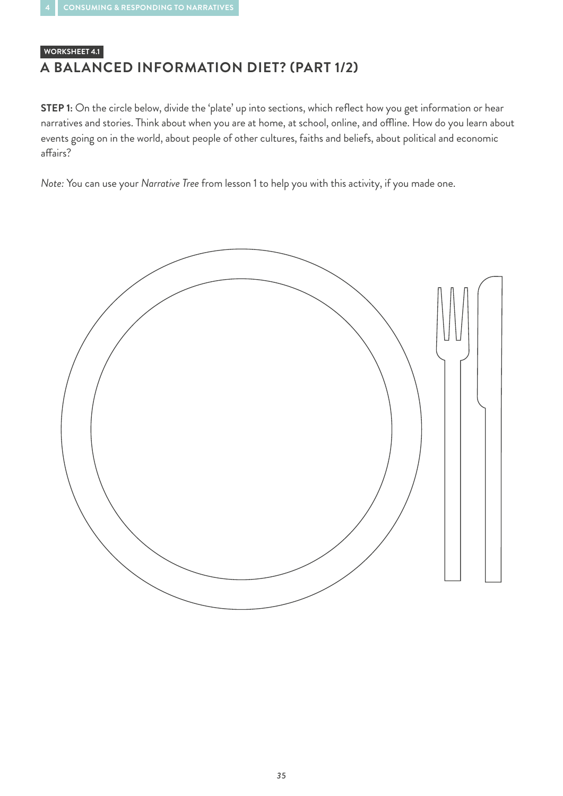## **WORKSHEET 4.1 A BALANCED INFORMATION DIET? (PART 1/2)**

**STEP 1:** On the circle below, divide the 'plate' up into sections, which reflect how you get information or hear narratives and stories. Think about when you are at home, at school, online, and offline. How do you learn about events going on in the world, about people of other cultures, faiths and beliefs, about political and economic affairs?

*Note:* You can use your *Narrative Tree* from lesson 1 to help you with this activity, if you made one.

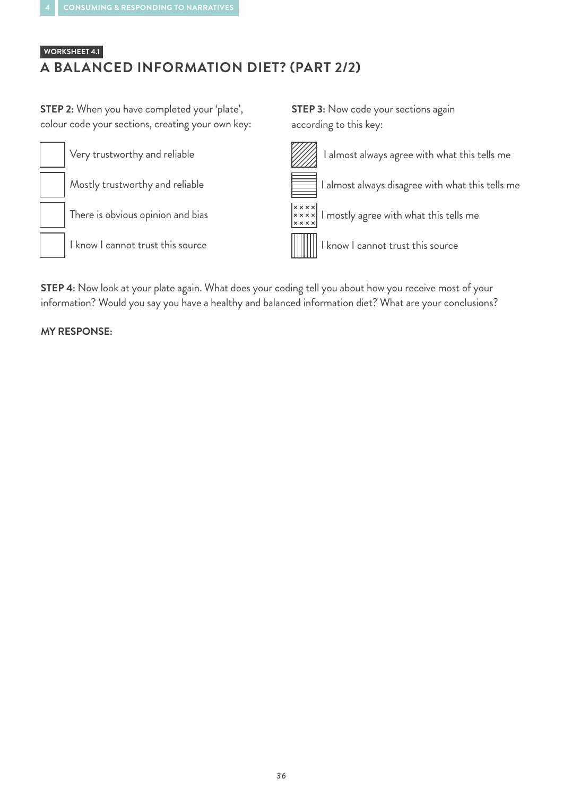## **WORKSHEET 4.1**

## **A BALANCED INFORMATION DIET? (PART 2/2)**

**STEP 2:** When you have completed your 'plate', colour code your sections, creating your own key:

Very trustworthy and reliable

Mostly trustworthy and reliable

There is obvious opinion and bias

I know I cannot trust this source

**STEP 3:** Now code your sections again according to this key:



I almost always agree with what this tells me

I almost always disagree with what this tells me

I mostly agree with what this tells me

I know I cannot trust this source

**STEP 4:** Now look at your plate again. What does your coding tell you about how you receive most of your information? Would you say you have a healthy and balanced information diet? What are your conclusions?

## **MY RESPONSE:**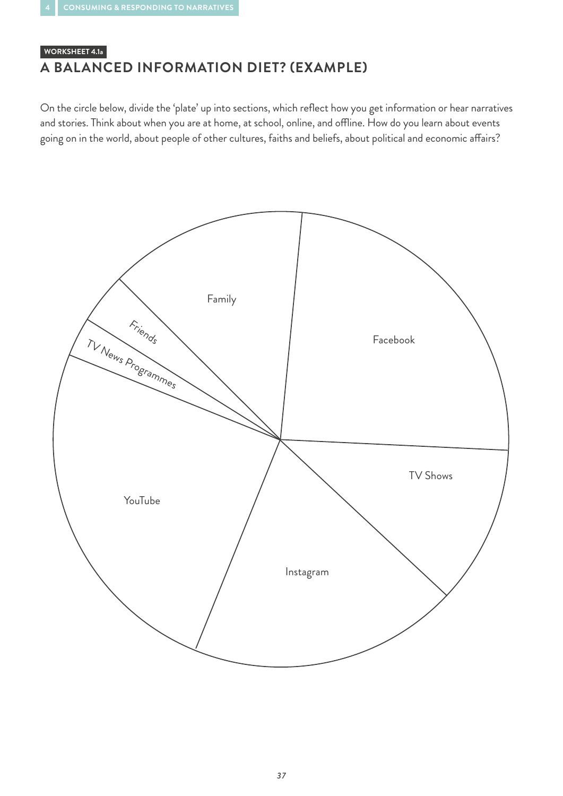## **WORKSHEET 4.1a A BALANCED INFORMATION DIET? (EXAMPLE)**

On the circle below, divide the 'plate' up into sections, which reflect how you get information or hear narratives and stories. Think about when you are at home, at school, online, and offline. How do you learn about events going on in the world, about people of other cultures, faiths and beliefs, about political and economic affairs?

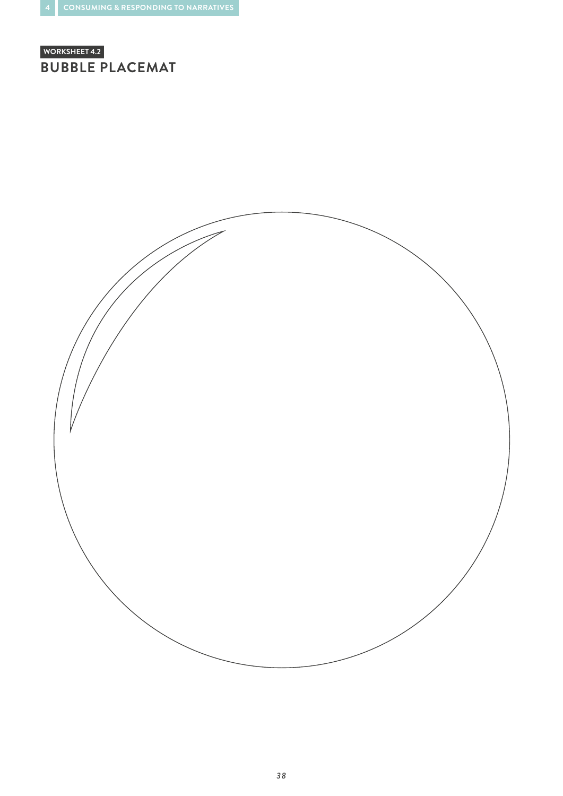**WORKSHEET 4.2 BUBBLE PLACEMAT**

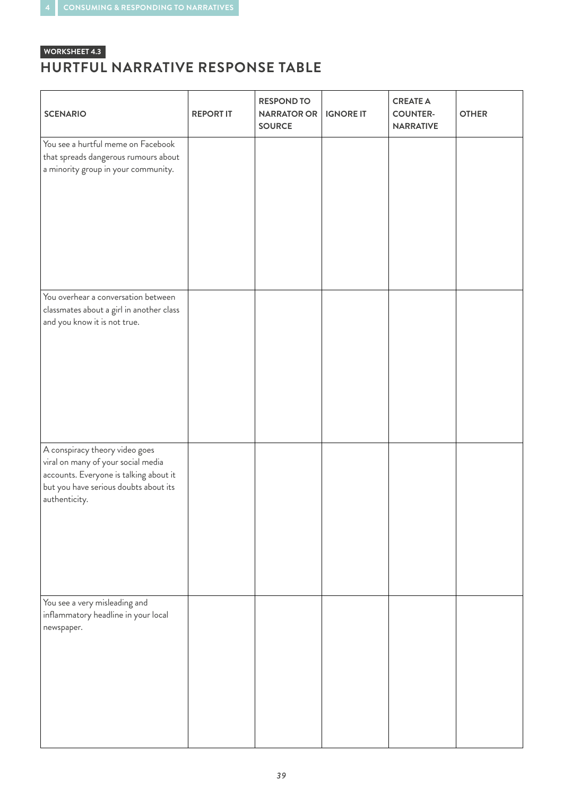## **WORKSHEET 4.3**

## **HURTFUL NARRATIVE RESPONSE TABLE**

| <b>SCENARIO</b>                                                                                                                                                          | <b>REPORT IT</b> | <b>RESPOND TO</b><br><b>NARRATOR OR</b><br><b>SOURCE</b> | <b>IGNORE IT</b> | <b>CREATE A</b><br><b>COUNTER-</b><br><b>NARRATIVE</b> | <b>OTHER</b> |
|--------------------------------------------------------------------------------------------------------------------------------------------------------------------------|------------------|----------------------------------------------------------|------------------|--------------------------------------------------------|--------------|
| You see a hurtful meme on Facebook<br>that spreads dangerous rumours about<br>a minority group in your community.                                                        |                  |                                                          |                  |                                                        |              |
| You overhear a conversation between<br>classmates about a girl in another class<br>and you know it is not true.                                                          |                  |                                                          |                  |                                                        |              |
| A conspiracy theory video goes<br>viral on many of your social media<br>accounts. Everyone is talking about it<br>but you have serious doubts about its<br>authenticity. |                  |                                                          |                  |                                                        |              |
| You see a very misleading and<br>inflammatory headline in your local<br>newspaper.                                                                                       |                  |                                                          |                  |                                                        |              |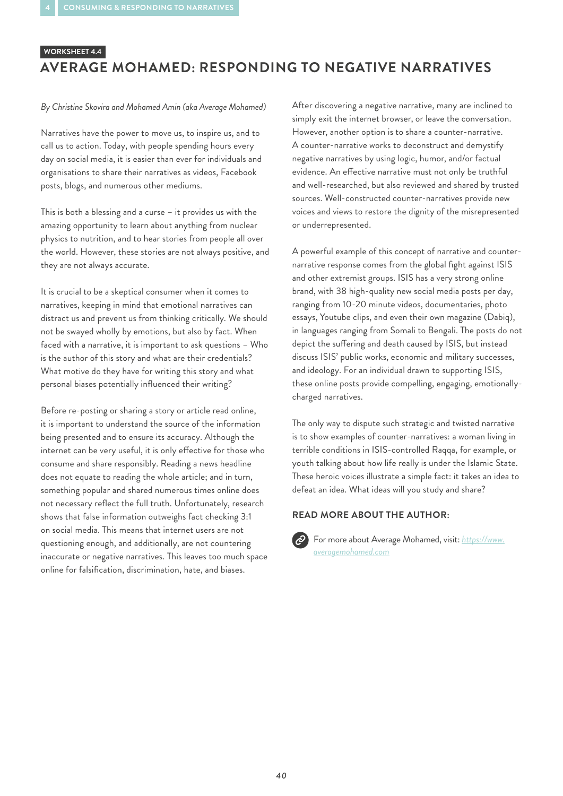## **WORKSHEET 4.4 AVERAGE MOHAMED: RESPONDING TO NEGATIVE NARRATIVES**

## *By Christine Skovira and Mohamed Amin (aka Average Mohamed)*

Narratives have the power to move us, to inspire us, and to call us to action. Today, with people spending hours every day on social media, it is easier than ever for individuals and organisations to share their narratives as videos, Facebook posts, blogs, and numerous other mediums.

This is both a blessing and a curse – it provides us with the amazing opportunity to learn about anything from nuclear physics to nutrition, and to hear stories from people all over the world. However, these stories are not always positive, and they are not always accurate.

It is crucial to be a skeptical consumer when it comes to narratives, keeping in mind that emotional narratives can distract us and prevent us from thinking critically. We should not be swayed wholly by emotions, but also by fact. When faced with a narrative, it is important to ask questions – Who is the author of this story and what are their credentials? What motive do they have for writing this story and what personal biases potentially influenced their writing?

Before re-posting or sharing a story or article read online, it is important to understand the source of the information being presented and to ensure its accuracy. Although the internet can be very useful, it is only effective for those who consume and share responsibly. Reading a news headline does not equate to reading the whole article; and in turn, something popular and shared numerous times online does not necessary reflect the full truth. Unfortunately, research shows that false information outweighs fact checking 3:1 on social media. This means that internet users are not questioning enough, and additionally, are not countering inaccurate or negative narratives. This leaves too much space online for falsification, discrimination, hate, and biases.

After discovering a negative narrative, many are inclined to simply exit the internet browser, or leave the conversation. However, another option is to share a counter-narrative. A counter-narrative works to deconstruct and demystify negative narratives by using logic, humor, and/or factual evidence. An effective narrative must not only be truthful and well-researched, but also reviewed and shared by trusted sources. Well-constructed counter-narratives provide new voices and views to restore the dignity of the misrepresented or underrepresented.

A powerful example of this concept of narrative and counternarrative response comes from the global fight against ISIS and other extremist groups. ISIS has a very strong online brand, with 38 high-quality new social media posts per day, ranging from 10-20 minute videos, documentaries, photo essays, Youtube clips, and even their own magazine (Dabiq), in languages ranging from Somali to Bengali. The posts do not depict the suffering and death caused by ISIS, but instead discuss ISIS' public works, economic and military successes, and ideology. For an individual drawn to supporting ISIS, these online posts provide compelling, engaging, emotionallycharged narratives.

The only way to dispute such strategic and twisted narrative is to show examples of counter-narratives: a woman living in terrible conditions in ISIS-controlled Raqqa, for example, or youth talking about how life really is under the Islamic State. These heroic voices illustrate a simple fact: it takes an idea to defeat an idea. What ideas will you study and share?

## **READ MORE ABOUT THE AUTHOR:**



For more about Average Mohamed, visit: *[https://www.](https://www.averagemohamed.com) [averagemohamed.com](https://www.averagemohamed.com)*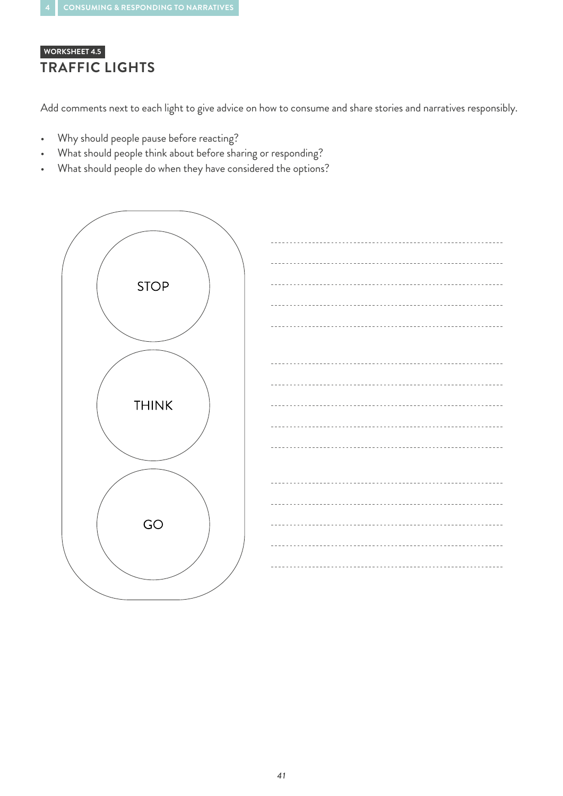## **WORKSHEET 4.5 TRAFFIC LIGHTS**

Add comments next to each light to give advice on how to consume and share stories and narratives responsibly.

- Why should people pause before reacting?
- What should people think about before sharing or responding?
- What should people do when they have considered the options?

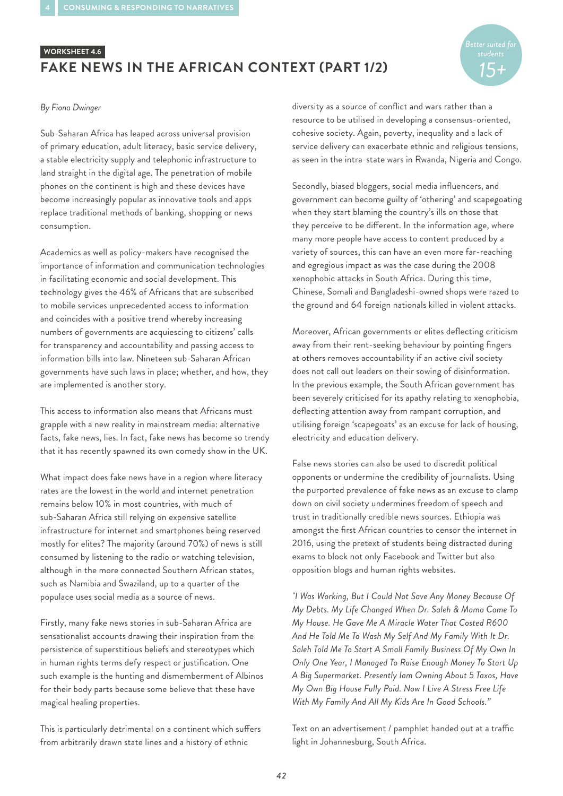## **WORKSHEET 4.6 FAKE NEWS IN THE AFRICAN CONTEXT (PART 1/2)**

## *By Fiona Dwinger*

Sub-Saharan Africa has leaped across universal provision of primary education, adult literacy, basic service delivery, a stable electricity supply and telephonic infrastructure to land straight in the digital age. The penetration of mobile phones on the continent is high and these devices have become increasingly popular as innovative tools and apps replace traditional methods of banking, shopping or news consumption.

Academics as well as policy-makers have recognised the importance of information and communication technologies in facilitating economic and social development. This technology gives the 46% of Africans that are subscribed to mobile services unprecedented access to information and coincides with a positive trend whereby increasing numbers of governments are acquiescing to citizens' calls for transparency and accountability and passing access to information bills into law. Nineteen sub-Saharan African governments have such laws in place; whether, and how, they are implemented is another story.

This access to information also means that Africans must grapple with a new reality in mainstream media: alternative facts, fake news, lies. In fact, fake news has become so trendy that it has recently spawned its own comedy show in the UK.

What impact does fake news have in a region where literacy rates are the lowest in the world and internet penetration remains below 10% in most countries, with much of sub-Saharan Africa still relying on expensive satellite infrastructure for internet and smartphones being reserved mostly for elites? The majority (around 70%) of news is still consumed by listening to the radio or watching television, although in the more connected Southern African states, such as Namibia and Swaziland, up to a quarter of the populace uses social media as a source of news.

Firstly, many fake news stories in sub-Saharan Africa are sensationalist accounts drawing their inspiration from the persistence of superstitious beliefs and stereotypes which in human rights terms defy respect or justification. One such example is the hunting and dismemberment of Albinos for their body parts because some believe that these have magical healing properties.

This is particularly detrimental on a continent which suffers from arbitrarily drawn state lines and a history of ethnic

diversity as a source of conflict and wars rather than a resource to be utilised in developing a consensus-oriented, cohesive society. Again, poverty, inequality and a lack of service delivery can exacerbate ethnic and religious tensions, as seen in the intra-state wars in Rwanda, Nigeria and Congo.

Secondly, biased bloggers, social media influencers, and government can become guilty of 'othering' and scapegoating when they start blaming the country's ills on those that they perceive to be different. In the information age, where many more people have access to content produced by a variety of sources, this can have an even more far-reaching and egregious impact as was the case during the 2008 xenophobic attacks in South Africa. During this time, Chinese, Somali and Bangladeshi-owned shops were razed to the ground and 64 foreign nationals killed in violent attacks.

Moreover, African governments or elites deflecting criticism away from their rent-seeking behaviour by pointing fingers at others removes accountability if an active civil society does not call out leaders on their sowing of disinformation. In the previous example, the South African government has been severely criticised for its apathy relating to xenophobia, deflecting attention away from rampant corruption, and utilising foreign 'scapegoats' as an excuse for lack of housing, electricity and education delivery.

False news stories can also be used to discredit political opponents or undermine the credibility of journalists. Using the purported prevalence of fake news as an excuse to clamp down on civil society undermines freedom of speech and trust in traditionally credible news sources. Ethiopia was amongst the first African countries to censor the internet in 2016, using the pretext of students being distracted during exams to block not only Facebook and Twitter but also opposition blogs and human rights websites.

*"I Was Working, But I Could Not Save Any Money Because Of My Debts. My Life Changed When Dr. Saleh & Mama Came To My House. He Gave Me A Miracle Water That Costed R600 And He Told Me To Wash My Self And My Family With It Dr.*  Saleh Told Me To Start A Small Family Business Of My Own In *Only One Year, I Managed To Raise Enough Money To Start Up A Big Supermarket. Presently Iam Owning About 5 Taxos, Have My Own Big House Fully Paid. Now I Live A Stress Free Life With My Family And All My Kids Are In Good Schools."*

Text on an advertisement / pamphlet handed out at a traffic light in Johannesburg, South Africa.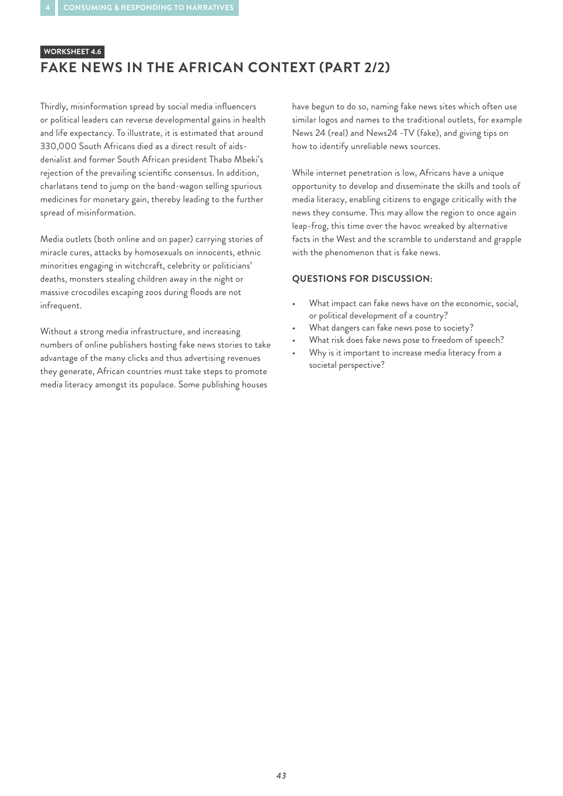## **WORKSHEET 4.6 FAKE NEWS IN THE AFRICAN CONTEXT (PART 2/2)**

Thirdly, misinformation spread by social media influencers or political leaders can reverse developmental gains in health and life expectancy. To illustrate, it is estimated that around 330,000 South Africans died as a direct result of aidsdenialist and former South African president Thabo Mbeki's rejection of the prevailing scientific consensus. In addition, charlatans tend to jump on the band-wagon selling spurious medicines for monetary gain, thereby leading to the further spread of misinformation.

Media outlets (both online and on paper) carrying stories of miracle cures, attacks by homosexuals on innocents, ethnic minorities engaging in witchcraft, celebrity or politicians' deaths, monsters stealing children away in the night or massive crocodiles escaping zoos during floods are not infrequent.

Without a strong media infrastructure, and increasing numbers of online publishers hosting fake news stories to take advantage of the many clicks and thus advertising revenues they generate, African countries must take steps to promote media literacy amongst its populace. Some publishing houses

have begun to do so, naming fake news sites which often use similar logos and names to the traditional outlets, for example News 24 (real) and News24 -TV (fake), and giving tips on how to identify unreliable news sources.

While internet penetration is low, Africans have a unique opportunity to develop and disseminate the skills and tools of media literacy, enabling citizens to engage critically with the news they consume. This may allow the region to once again leap-frog, this time over the havoc wreaked by alternative facts in the West and the scramble to understand and grapple with the phenomenon that is fake news.

## **QUESTIONS FOR DISCUSSION:**

- What impact can fake news have on the economic, social, or political development of a country?
- What dangers can fake news pose to society?
- What risk does fake news pose to freedom of speech?
- Why is it important to increase media literacy from a societal perspective?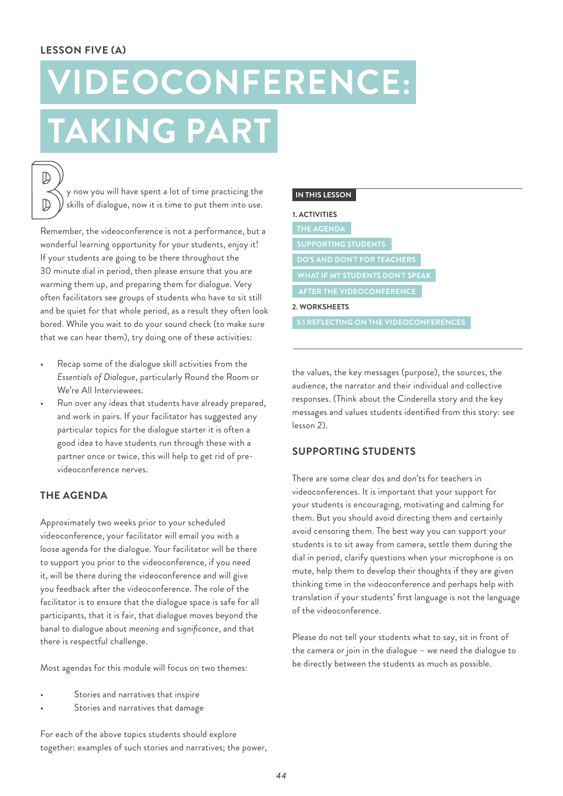## **LESSON FIVE (A)**

 $\mathbb D$ 

# **VIDEOCONFERENCE: TAKING PART**

y now you will have spent a lot of time practicing the skills of dialogue, now it is time to put them into use.

Remember, the videoconference is not a performance, but a wonderful learning opportunity for your students, enjoy it! If your students are going to be there throughout the 30 minute dial in period, then please ensure that you are warming them up, and preparing them for dialogue. Very often facilitators see groups of students who have to sit still and be quiet for that whole period, as a result they often look bored. While you wait to do your sound check (to make sure that we can hear them), try doing one of these activities:

- Recap some of the dialogue skill activities from the *Essentials of Dialogue*, particularly Round the Room or We're All Interviewees.
- Run over any ideas that students have already prepared, and work in pairs. If your facilitator has suggested any particular topics for the dialogue starter it is often a good idea to have students run through these with a partner once or twice, this will help to get rid of prevideoconference nerves.

## **THE AGENDA**

Approximately two weeks prior to your scheduled videoconference, your facilitator will email you with a loose agenda for the dialogue. Your facilitator will be there to support you prior to the videoconference, if you need it, will be there during the videoconference and will give you feedback after the videoconference. The role of the facilitator is to ensure that the dialogue space is safe for all participants, that it is fair, that dialogue moves beyond the banal to dialogue about *meaning* and s*ignificance*, and that there is respectful challenge.

Most agendas for this module will focus on two themes:

- Stories and narratives that inspire
- Stories and narratives that damage

For each of the above topics students should explore together: examples of such stories and narratives; the power,

## **IN THIS LESSON**

| <b>THE AGENDA</b>                             |
|-----------------------------------------------|
| <b>SUPPORTING STUDENTS</b>                    |
| <b>DO'S AND DON'T FOR TEACHERS</b>            |
| WHAT IF MY STUDENTS DON'T SPEAK               |
| <b>AFTER THE VIDEOCONFERENCE</b>              |
| <b>2. WORKSHEETS</b>                          |
| <b>5.1 REFLECTING ON THE VIDEOCONFERENCES</b> |

the values, the key messages (purpose), the sources, the audience, the narrator and their individual and collective responses. (Think about the Cinderella story and the key messages and values students identified from this story: see lesson 2).

## **SUPPORTING STUDENTS**

There are some clear dos and don'ts for teachers in videoconferences. It is important that your support for your students is encouraging, motivating and calming for them. But you should avoid directing them and certainly avoid censoring them. The best way you can support your students is to sit away from camera, settle them during the dial in period, clarify questions when your microphone is on mute, help them to develop their thoughts if they are given thinking time in the videoconference and perhaps help with translation if your students' first language is not the language of the videoconference.

Please do not tell your students what to say, sit in front of the camera or join in the dialogue – we need the dialogue to be directly between the students as much as possible.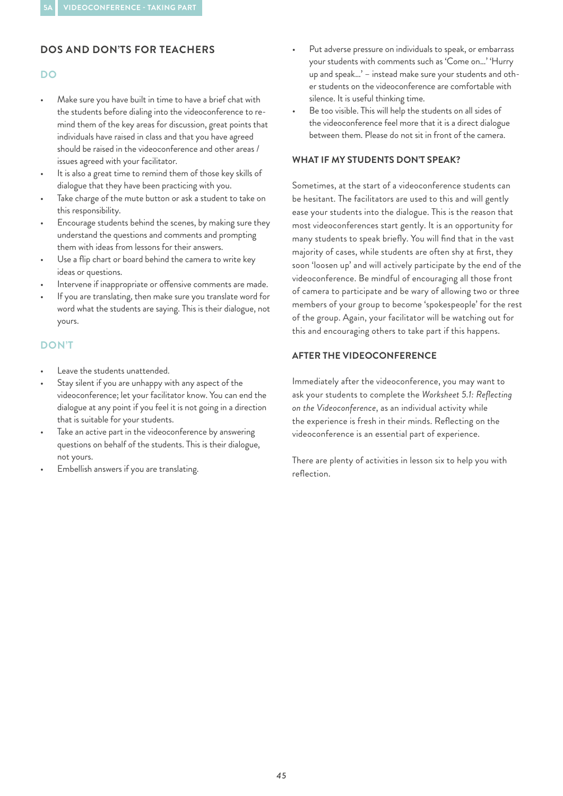## **DOS AND DON'TS FOR TEACHERS**

## **DO**

- Make sure you have built in time to have a brief chat with the students before dialing into the videoconference to remind them of the key areas for discussion, great points that individuals have raised in class and that you have agreed should be raised in the videoconference and other areas / issues agreed with your facilitator.
- It is also a great time to remind them of those key skills of dialogue that they have been practicing with you.
- Take charge of the mute button or ask a student to take on this responsibility.
- Encourage students behind the scenes, by making sure they understand the questions and comments and prompting them with ideas from lessons for their answers.
- Use a flip chart or board behind the camera to write key ideas or questions.
- Intervene if inappropriate or offensive comments are made.
- If you are translating, then make sure you translate word for word what the students are saying. This is their dialogue, not yours.

## **DON'T**

- Leave the students unattended.
- Stay silent if you are unhappy with any aspect of the videoconference; let your facilitator know. You can end the dialogue at any point if you feel it is not going in a direction that is suitable for your students.
- Take an active part in the videoconference by answering questions on behalf of the students. This is their dialogue, not yours.
- Embellish answers if you are translating.
- Put adverse pressure on individuals to speak, or embarrass your students with comments such as 'Come on…' 'Hurry up and speak…' – instead make sure your students and other students on the videoconference are comfortable with silence. It is useful thinking time.
- Be too visible. This will help the students on all sides of the videoconference feel more that it is a direct dialogue between them. Please do not sit in front of the camera.

## **WHAT IF MY STUDENTS DON'T SPEAK?**

Sometimes, at the start of a videoconference students can be hesitant. The facilitators are used to this and will gently ease your students into the dialogue. This is the reason that most videoconferences start gently. It is an opportunity for many students to speak briefly. You will find that in the vast majority of cases, while students are often shy at first, they soon 'loosen up' and will actively participate by the end of the videoconference. Be mindful of encouraging all those front of camera to participate and be wary of allowing two or three members of your group to become 'spokespeople' for the rest of the group. Again, your facilitator will be watching out for this and encouraging others to take part if this happens.

## **AFTER THE VIDEOCONFERENCE**

Immediately after the videoconference, you may want to ask your students to complete the *Worksheet 5.1: Reflecting on the Videoconference*, as an individual activity while the experience is fresh in their minds. Reflecting on the videoconference is an essential part of experience.

There are plenty of activities in lesson six to help you with reflection.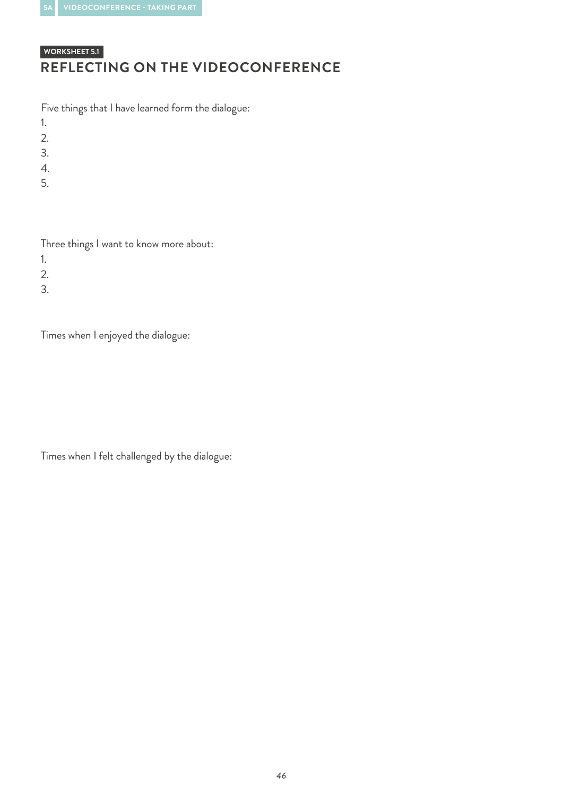## **WORKSHEET 5.1**

## **REFLECTING ON THE VIDEOCONFERENCE**

Five things that I have learned form the dialogue:

- 1.
- 2.
- 3.
- 4.
- 5.
- 

Three things I want to know more about:

- 1.
- 2.
- 3.

Times when I enjoyed the dialogue:

Times when I felt challenged by the dialogue: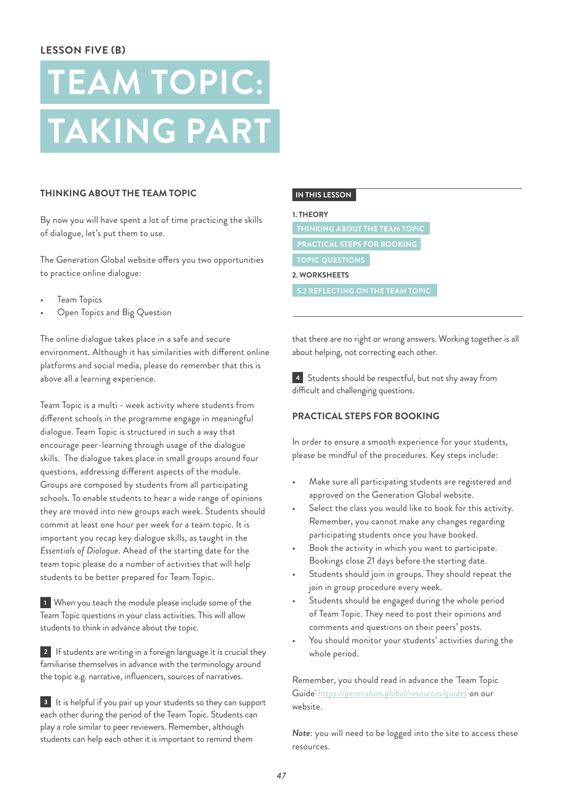## **LESSON FIVE (B)**

# **TEAM TOPIC: TAKING PART**

## **THINKING ABOUT THE TEAM TOPIC**

By now you will have spent a lot of time practicing the skills of dialogue, let's put them to use.

The Generation Global website offers you two opportunities to practice online dialogue:

- Team Topics
- Open Topics and Big Question

The online dialogue takes place in a safe and secure environment. Although it has similarities with different online platforms and social media, please do remember that this is above all a learning experience.

Team Topic is a multi - week activity where students from different schools in the programme engage in meaningful dialogue. Team Topic is structured in such a way that encourage peer-learning through usage of the dialogue skills. The dialogue takes place in small groups around four questions, addressing different aspects of the module. Groups are composed by students from all participating schools. To enable students to hear a wide range of opinions they are moved into new groups each week. Students should commit at least one hour per week for a team topic. It is important you recap key dialogue skills, as taught in the *Essentials of Dialogue*. Ahead of the starting date for the team topic please do a number of activities that will help students to be better prepared for Team Topic.

When you teach the module please include some of the **1** Team Topic questions in your class activities. This will allow students to think in advance about the topic.

 If students are writing in a foreign language it is crucial they **2** familiarise themselves in advance with the terminology around the topic e.g. narrative, influencers, sources of narratives.

 It is helpful if you pair up your students so they can support **3** each other during the period of the Team Topic. Students can play a role similar to peer reviewers. Remember, although students can help each other it is important to remind them

## **IN THIS LESSON**

### **1. THEORY**

**THINKING ABOUT THE TEAM TOPIC PRACTICAL STEPS FOR BOOKING TOPIC QUESTIONS 2. WORKSHEETS**

that there are no right or wrong answers. Working together is all about helping, not correcting each other.

 Students should be respectful, but not shy away from **4** difficult and challenging questions.

## **PRACTICAL STEPS FOR BOOKING**

In order to ensure a smooth experience for your students, please be mindful of the procedures. Key steps include:

- Make sure all participating students are registered and approved on the Generation Global website.
- Select the class you would like to book for this activity. Remember, you cannot make any changes regarding participating students once you have booked.
- Book the activity in which you want to participate. Bookings close 21 days before the starting date.
- Students should join in groups. They should repeat the join in group procedure every week.
- Students should be engaged during the whole period of Team Topic. They need to post their opinions and comments and questions on their peers' posts.
- You should monitor your students' activities during the whole period.

Remember, you should read in advance the 'Team Topic Guide' *<https://generation.global/resources/guides>* on our website.

*Note*: you will need to be logged into the site to access these resources.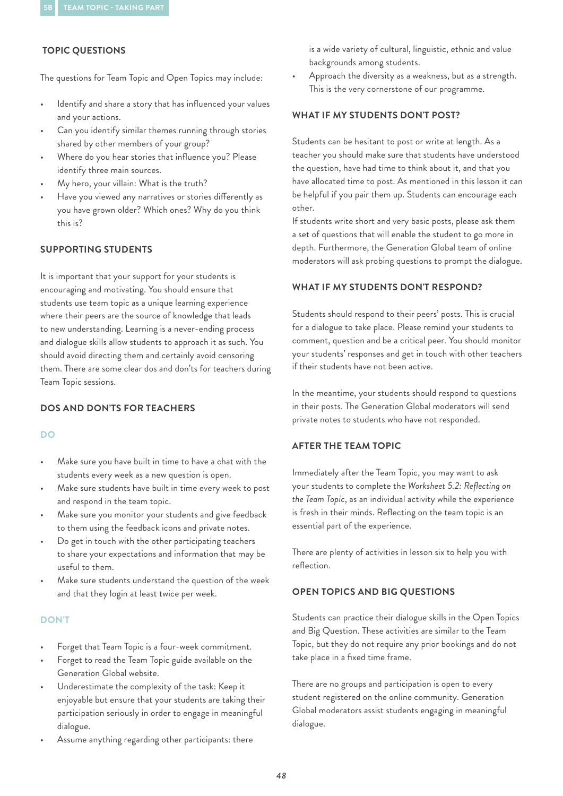## **TOPIC QUESTIONS**

The questions for Team Topic and Open Topics may include:

- Identify and share a story that has influenced your values and your actions.
- Can you identify similar themes running through stories shared by other members of your group?
- Where do you hear stories that influence you? Please identify three main sources.
- My hero, your villain: What is the truth?
- Have you viewed any narratives or stories differently as you have grown older? Which ones? Why do you think this is?

## **SUPPORTING STUDENTS**

It is important that your support for your students is encouraging and motivating. You should ensure that students use team topic as a unique learning experience where their peers are the source of knowledge that leads to new understanding. Learning is a never-ending process and dialogue skills allow students to approach it as such. You should avoid directing them and certainly avoid censoring them. There are some clear dos and don'ts for teachers during Team Topic sessions.

## **DOS AND DON'TS FOR TEACHERS**

## **DO**

- Make sure you have built in time to have a chat with the students every week as a new question is open.
- Make sure students have built in time every week to post and respond in the team topic.
- Make sure you monitor your students and give feedback to them using the feedback icons and private notes.
- Do get in touch with the other participating teachers to share your expectations and information that may be useful to them.
- Make sure students understand the question of the week and that they login at least twice per week.

## **DON'T**

- Forget that Team Topic is a four-week commitment.
- Forget to read the Team Topic guide available on the Generation Global website.
- Underestimate the complexity of the task: Keep it enjoyable but ensure that your students are taking their participation seriously in order to engage in meaningful dialogue.
- Assume anything regarding other participants: there

is a wide variety of cultural, linguistic, ethnic and value backgrounds among students.

• Approach the diversity as a weakness, but as a strength. This is the very cornerstone of our programme.

## **WHAT IF MY STUDENTS DON'T POST?**

Students can be hesitant to post or write at length. As a teacher you should make sure that students have understood the question, have had time to think about it, and that you have allocated time to post. As mentioned in this lesson it can be helpful if you pair them up. Students can encourage each other.

If students write short and very basic posts, please ask them a set of questions that will enable the student to go more in depth. Furthermore, the Generation Global team of online moderators will ask probing questions to prompt the dialogue.

## **WHAT IF MY STUDENTS DON'T RESPOND?**

Students should respond to their peers' posts. This is crucial for a dialogue to take place. Please remind your students to comment, question and be a critical peer. You should monitor your students' responses and get in touch with other teachers if their students have not been active.

In the meantime, your students should respond to questions in their posts. The Generation Global moderators will send private notes to students who have not responded.

## **AFTER THE TEAM TOPIC**

Immediately after the Team Topic, you may want to ask your students to complete the *Worksheet 5.2: Reflecting on the Team Topic*, as an individual activity while the experience is fresh in their minds. Reflecting on the team topic is an essential part of the experience.

There are plenty of activities in lesson six to help you with reflection.

## **OPEN TOPICS AND BIG QUESTIONS**

Students can practice their dialogue skills in the Open Topics and Big Question. These activities are similar to the Team Topic, but they do not require any prior bookings and do not take place in a fixed time frame.

There are no groups and participation is open to every student registered on the online community. Generation Global moderators assist students engaging in meaningful dialogue.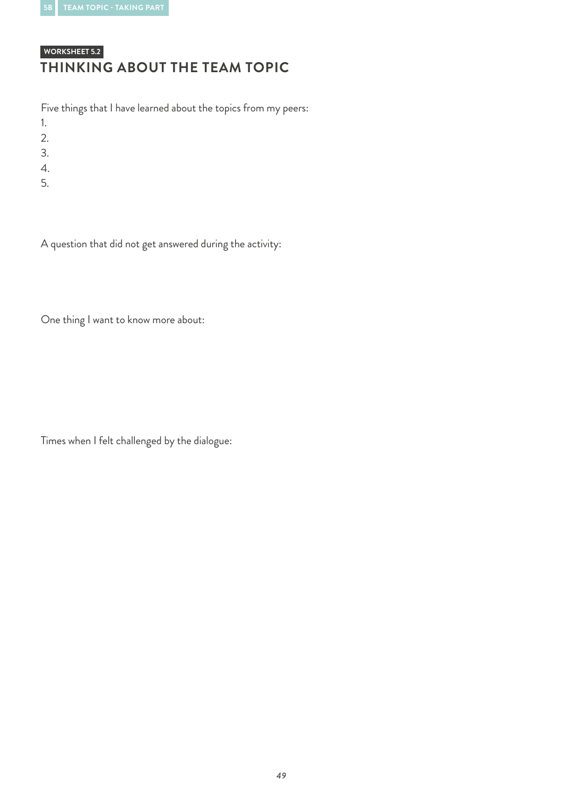## **WORKSHEET 5.2 THINKING ABOUT THE TEAM TOPIC**

Five things that I have learned about the topics from my peers:

- 1.
- 2.
- 3.
- 4.
- 
- 5.

A question that did not get answered during the activity:

One thing I want to know more about:

Times when I felt challenged by the dialogue: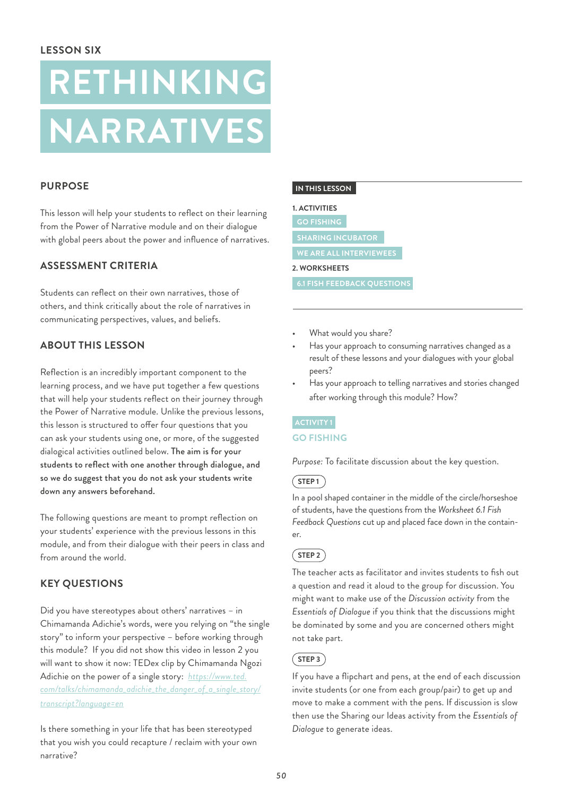## **LESSON SIX**

# **RETHINKING NARRATIVES**

## **PURPOSE**

This lesson will help your students to reflect on their learning from the Power of Narrative module and on their dialogue with global peers about the power and influence of narratives.

## **ASSESSMENT CRITERIA**

Students can reflect on their own narratives, those of others, and think critically about the role of narratives in communicating perspectives, values, and beliefs.

## **ABOUT THIS LESSON**

Reflection is an incredibly important component to the learning process, and we have put together a few questions that will help your students reflect on their journey through the Power of Narrative module. Unlike the previous lessons, this lesson is structured to offer four questions that you can ask your students using one, or more, of the suggested dialogical activities outlined below. The aim is for your students to reflect with one another through dialogue, and so we do suggest that you do not ask your students write down any answers beforehand.

The following questions are meant to prompt reflection on your students' experience with the previous lessons in this module, and from their dialogue with their peers in class and from around the world.

## **KEY QUESTIONS**

Did you have stereotypes about others' narratives – in Chimamanda Adichie's words, were you relying on "the single story" to inform your perspective – before working through this module? If you did not show this video in lesson 2 you will want to show it now: TEDex clip by Chimamanda Ngozi Adichie on the power of a single story: *[https://www.ted.](https://www.ted.com/talks/chimamanda_adichie_the_danger_of_a_single_story/transcript?language=en) [com/talks/chimamanda\\_adichie\\_the\\_danger\\_of\\_a\\_single\\_story/](https://www.ted.com/talks/chimamanda_adichie_the_danger_of_a_single_story/transcript?language=en) [transcript?language=en](https://www.ted.com/talks/chimamanda_adichie_the_danger_of_a_single_story/transcript?language=en)*

Is there something in your life that has been stereotyped that you wish you could recapture / reclaim with your own narrative?

## **IN THIS LESSON**

### **1. ACTIVITIES**

**GO FISHING**

**WE ARE ALL INTERVIEWEES**

### **2. WORKSHEETS**

**6.1 FISH FEEDBACK QUESTIONS**

- What would you share?
- Has your approach to consuming narratives changed as a result of these lessons and your dialogues with your global peers?
- Has your approach to telling narratives and stories changed after working through this module? How?

## **ACTIVITY 1**

### **GO FISHING**

*Purpose:* To facilitate discussion about the key question.

## **STEP 1**

In a pool shaped container in the middle of the circle/horseshoe of students, have the questions from the *Worksheet 6.1 Fish Feedback Questions* cut up and placed face down in the container.

## $S$ TEP 2

The teacher acts as facilitator and invites students to fish out a question and read it aloud to the group for discussion. You might want to make use of the *Discussion activity* from the *Essentials of Dialogue* if you think that the discussions might be dominated by some and you are concerned others might not take part.

## $(STEP3)$

If you have a flipchart and pens, at the end of each discussion invite students (or one from each group/pair) to get up and move to make a comment with the pens. If discussion is slow then use the Sharing our Ideas activity from the *Essentials of Dialogue* to generate ideas.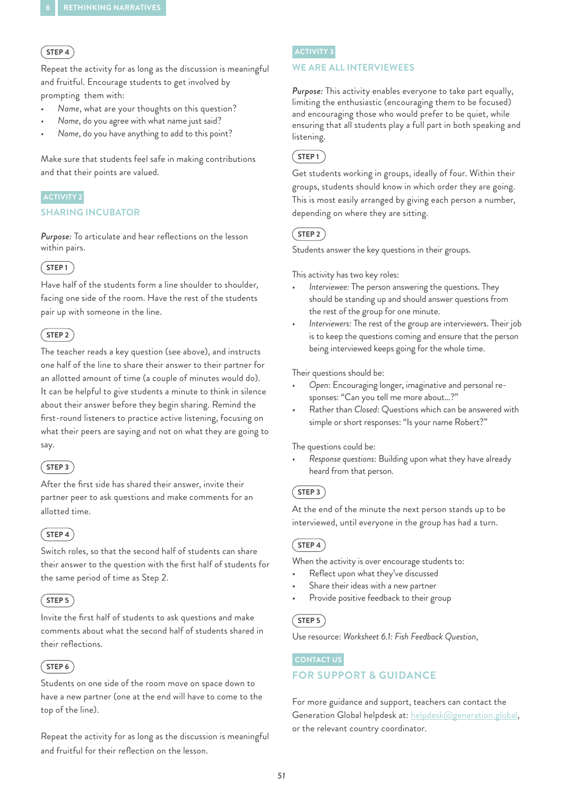## **STEP 4**

Repeat the activity for as long as the discussion is meaningful and fruitful. Encourage students to get involved by prompting them with:

- *• Name*, what are your thoughts on this question?
- *• Name*, do you agree with what name just said?
- *• Name*, do you have anything to add to this point?

Make sure that students feel safe in making contributions and that their points are valued.

## **SHARING INCUBATOR**

*Purpose:* To articulate and hear reflections on the lesson within pairs.

## **STEP 1**

Have half of the students form a line shoulder to shoulder, facing one side of the room. Have the rest of the students pair up with someone in the line.

## $($  STEP 2  $)$

The teacher reads a key question (see above), and instructs one half of the line to share their answer to their partner for an allotted amount of time (a couple of minutes would do). It can be helpful to give students a minute to think in silence about their answer before they begin sharing. Remind the first-round listeners to practice active listening, focusing on what their peers are saying and not on what they are going to say.

## $($  STEP 3  $)$

After the first side has shared their answer, invite their partner peer to ask questions and make comments for an allotted time.

## **STEP 4**

Switch roles, so that the second half of students can share their answer to the question with the first half of students for the same period of time as Step 2.

## $($  STEP 5 $)$

Invite the first half of students to ask questions and make comments about what the second half of students shared in their reflections.

## $(STEP 6)$

Students on one side of the room move on space down to have a new partner (one at the end will have to come to the top of the line).

Repeat the activity for as long as the discussion is meaningful and fruitful for their reflection on the lesson.

## **WE ARE ALL INTERVIEWEES**

*Purpose:* This activity enables everyone to take part equally, limiting the enthusiastic (encouraging them to be focused) and encouraging those who would prefer to be quiet, while ensuring that all students play a full part in both speaking and listening.

## **STEP 1**

Get students working in groups, ideally of four. Within their groups, students should know in which order they are going. This is most easily arranged by giving each person a number, depending on where they are sitting.

## $($  STEP 2  $)$

Students answer the key questions in their groups.

This activity has two key roles:

- *• Interviewee:* The person answering the questions. They should be standing up and should answer questions from the rest of the group for one minute.
- *• Interviewers:* The rest of the group are interviewers. Their job is to keep the questions coming and ensure that the person being interviewed keeps going for the whole time.

Their questions should be:

- *• Open*: Encouraging longer, imaginative and personal responses: "Can you tell me more about…?"
- Rather than *Closed*: Questions which can be answered with simple or short responses: "Is your name Robert?"

The questions could be:

*• Response questions*: Building upon what they have already heard from that person.

## **STEP 3**

At the end of the minute the next person stands up to be interviewed, until everyone in the group has had a turn.

## $(STEP 4)$

When the activity is over encourage students to:

- Reflect upon what they've discussed
- Share their ideas with a new partner
- Provide positive feedback to their group

## **STEP 5**

Use resource: *Worksheet 6.1: Fish Feedback Question*,

## **FOR SUPPORT & GUIDANCE**

For more guidance and support, teachers can contact the Generation Global [helpdesk at: helpdesk@generation.global](mailto:helpdesk%40generation.global%2C?subject=), or the relevant country coordinator.